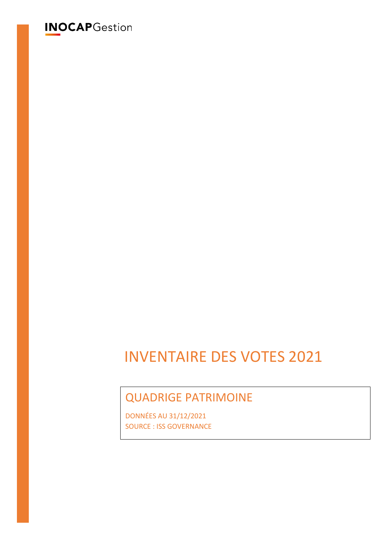# **INOCAP**Gestion

# INVENTAIRE DES VOTES 2021

# QUADRIGE PATRIMOINE

DONNÉES AU 31/12/2021 SOURCE : ISS GOVERNANCE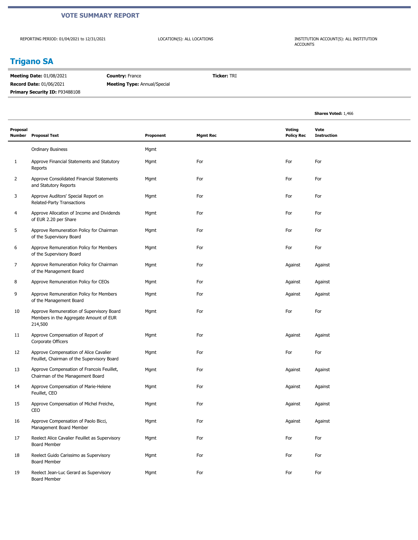#### **VOTE SUMMARY REPORT**

REPORTING PERIOD: 01/04/2021 to 12/31/2021

LOCATION(S): ALL LOCATIONS INSTITUTION ACCOUNT(S): ALL INSTITUTION ACCOUNTS

### **Trigano SA**

**Meeting Date:** 01/08/2021 **Record Date:** 01/06/2021 **Country:** France **Meeting Type:** Annual/Special **Ticker:** TRI Primary Security ID: F93488108

|                    |                                                                                                |           |                 |                             | <b>Shares Voted: 1,466</b> |
|--------------------|------------------------------------------------------------------------------------------------|-----------|-----------------|-----------------------------|----------------------------|
| Proposal<br>Number | <b>Proposal Text</b>                                                                           | Proponent | <b>Mgmt Rec</b> | Voting<br><b>Policy Rec</b> | Vote<br><b>Instruction</b> |
|                    | <b>Ordinary Business</b>                                                                       | Mgmt      |                 |                             |                            |
| $\mathbf{1}$       | Approve Financial Statements and Statutory<br>Reports                                          | Mgmt      | For             | For                         | For                        |
| $\overline{2}$     | Approve Consolidated Financial Statements<br>and Statutory Reports                             | Mgmt      | For             | For                         | For                        |
| 3                  | Approve Auditors' Special Report on<br>Related-Party Transactions                              | Mgmt      | For             | For                         | For                        |
| 4                  | Approve Allocation of Income and Dividends<br>of EUR 2.20 per Share                            | Mgmt      | For             | For                         | For                        |
| 5                  | Approve Remuneration Policy for Chairman<br>of the Supervisory Board                           | Mgmt      | For             | For                         | For                        |
| 6                  | Approve Remuneration Policy for Members<br>of the Supervisory Board                            | Mgmt      | For             | For                         | For                        |
| 7                  | Approve Remuneration Policy for Chairman<br>of the Management Board                            | Mgmt      | For             | Against                     | Against                    |
| 8                  | Approve Remuneration Policy for CEOs                                                           | Mgmt      | For             | Against                     | Against                    |
| 9                  | Approve Remuneration Policy for Members<br>of the Management Board                             | Mgmt      | For             | Against                     | Against                    |
| 10                 | Approve Remuneration of Supervisory Board<br>Members in the Aggregate Amount of EUR<br>214,500 | Mgmt      | For             | For                         | For                        |
| 11                 | Approve Compensation of Report of<br>Corporate Officers                                        | Mgmt      | For             | Against                     | Against                    |
| 12                 | Approve Compensation of Alice Cavalier<br>Feuillet, Chairman of the Supervisory Board          | Mgmt      | For             | For                         | For                        |
| 13                 | Approve Compensation of Francois Feuillet,<br>Chairman of the Management Board                 | Mgmt      | For             | Against                     | Against                    |
| 14                 | Approve Compensation of Marie-Helene<br>Feuillet, CEO                                          | Mgmt      | For             | Against                     | Against                    |
| 15                 | Approve Compensation of Michel Freiche,<br>CEO                                                 | Mgmt      | For             | Against                     | Against                    |
| 16                 | Approve Compensation of Paolo Bicci,<br>Management Board Member                                | Mgmt      | For             | Against                     | Against                    |
| 17                 | Reelect Alice Cavalier Feuillet as Supervisory<br><b>Board Member</b>                          | Mgmt      | For             | For                         | For                        |
| 18                 | Reelect Guido Carissimo as Supervisory<br><b>Board Member</b>                                  | Mgmt      | For             | For                         | For                        |
| 19                 | Reelect Jean-Luc Gerard as Supervisory<br>Board Member                                         | Mgmt      | For             | For                         | For                        |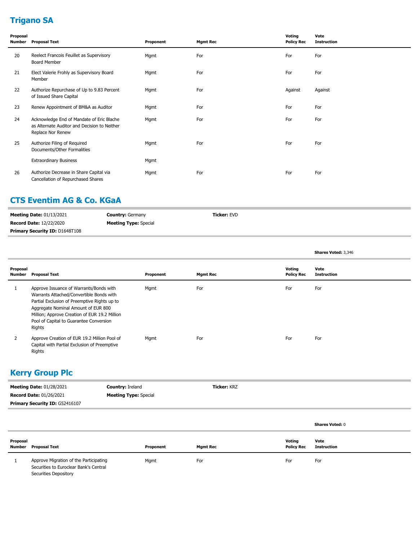# **Trigano SA**

| Proposal<br>Number | <b>Proposal Text</b>                                                                                           | Proponent | <b>Mgmt Rec</b> | Voting<br><b>Policy Rec</b> | Vote<br><b>Instruction</b> |
|--------------------|----------------------------------------------------------------------------------------------------------------|-----------|-----------------|-----------------------------|----------------------------|
| 20                 | Reelect Francois Feuillet as Supervisory<br>Board Member                                                       | Mgmt      | For             | For                         | For                        |
| 21                 | Elect Valerie Frohly as Supervisory Board<br>Member                                                            | Mgmt      | For             | For                         | For                        |
| 22                 | Authorize Repurchase of Up to 9.83 Percent<br>of Issued Share Capital                                          | Mgmt      | For             | Against                     | Against                    |
| 23                 | Renew Appointment of BM&A as Auditor                                                                           | Mgmt      | For             | For                         | For                        |
| 24                 | Acknowledge End of Mandate of Eric Blache<br>as Alternate Auditor and Decision to Neither<br>Replace Nor Renew | Mgmt      | For             | For                         | For                        |
| 25                 | Authorize Filing of Required<br>Documents/Other Formalities                                                    | Mgmt      | For             | For                         | For                        |
|                    | <b>Extraordinary Business</b>                                                                                  | Mgmt      |                 |                             |                            |
| 26                 | Authorize Decrease in Share Capital via<br>Cancellation of Repurchased Shares                                  | Mgmt      | For             | For                         | For                        |

### **CTS Eventim AG & Co. KGaA**

| <b>Meeting Date: 01/13/2021</b> | <b>Country: Germany</b>      | <b>Ticker: EVD</b> |
|---------------------------------|------------------------------|--------------------|
| <b>Record Date: 12/22/2020</b>  | <b>Meeting Type:</b> Special |                    |
| Primary Security ID: D1648T108  |                              |                    |

|                    |                                                                                                                                                                                                                                                                                  |           |                 |                             | <b>Shares Voted: 3,346</b> |
|--------------------|----------------------------------------------------------------------------------------------------------------------------------------------------------------------------------------------------------------------------------------------------------------------------------|-----------|-----------------|-----------------------------|----------------------------|
| Proposal<br>Number | Proposal Text                                                                                                                                                                                                                                                                    | Proponent | <b>Mgmt Rec</b> | Voting<br><b>Policy Rec</b> | Vote<br>Instruction        |
|                    | Approve Issuance of Warrants/Bonds with<br>Warrants Attached/Convertible Bonds with<br>Partial Exclusion of Preemptive Rights up to<br>Aggregate Nominal Amount of EUR 800<br>Million; Approve Creation of EUR 19.2 Million<br>Pool of Capital to Guarantee Conversion<br>Rights | Mgmt      | For             | For                         | For                        |
|                    | Approve Creation of EUR 19.2 Million Pool of<br>Capital with Partial Exclusion of Preemptive<br>Rights                                                                                                                                                                           | Mgmt      | For             | For                         | For                        |

### **Kerry Group Plc**

| <b>Meeting Date: 01/28/2021</b>       | <b>Country: Ireland</b>      | <b>Ticker: KRZ</b> |
|---------------------------------------|------------------------------|--------------------|
| <b>Record Date: 01/26/2021</b>        | <b>Meeting Type:</b> Special |                    |
| <b>Primary Security ID: G52416107</b> |                              |                    |

|                    |                                                                                                           |           |                 |                             | <b>Shares Voted: 0</b> |
|--------------------|-----------------------------------------------------------------------------------------------------------|-----------|-----------------|-----------------------------|------------------------|
| Proposal<br>Number | Proposal Text                                                                                             | Proponent | <b>Mgmt Rec</b> | Voting<br><b>Policy Rec</b> | Vote<br>Instruction    |
|                    | Approve Migration of the Participating<br>Securities to Euroclear Bank's Central<br>Securities Depository | Mgmt      | For             | For                         | For                    |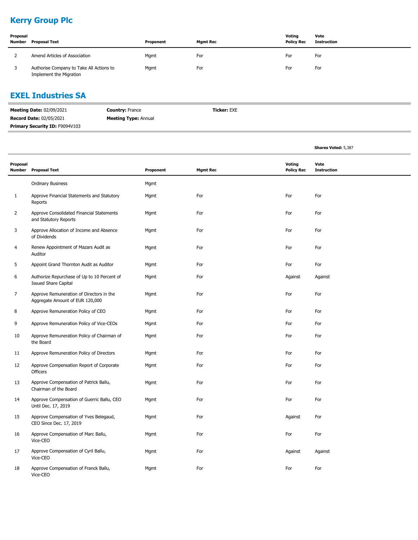### **Kerry Group Plc**

| Proposal<br>Number | Proposal Text                                                       | Proponent | <b>Mgmt Rec</b> | Votina<br><b>Policy Rec</b> | Vote<br>Instruction |
|--------------------|---------------------------------------------------------------------|-----------|-----------------|-----------------------------|---------------------|
|                    | Amend Articles of Association                                       | Mgmt      | For             | For                         | For                 |
|                    | Authorise Company to Take All Actions to<br>Implement the Migration | Mgmt      | For             | For                         | For                 |

### **EXEL Industries SA**

| <b>Meeting Date: 02/09/2021</b>       | <b>Country: France</b>      | <b>Ticker:</b> EXE |
|---------------------------------------|-----------------------------|--------------------|
| <b>Record Date: 02/05/2021</b>        | <b>Meeting Type: Annual</b> |                    |
| <b>Primary Security ID: F9094V103</b> |                             |                    |

|                |                                                                             |           |                 |                                    | <b>Shares Voted: 5,387</b> |  |
|----------------|-----------------------------------------------------------------------------|-----------|-----------------|------------------------------------|----------------------------|--|
| Proposal       | Number Proposal Text                                                        | Proponent | <b>Mgmt Rec</b> | <b>Voting</b><br><b>Policy Rec</b> | Vote<br><b>Instruction</b> |  |
|                | <b>Ordinary Business</b>                                                    | Mgmt      |                 |                                    |                            |  |
| $\mathbf{1}$   | Approve Financial Statements and Statutory<br>Reports                       | Mgmt      | For             | For                                | For                        |  |
| $\overline{2}$ | Approve Consolidated Financial Statements<br>and Statutory Reports          | Mgmt      | For             | For                                | For                        |  |
| 3              | Approve Allocation of Income and Absence<br>of Dividends                    | Mgmt      | For             | For                                | For                        |  |
| 4              | Renew Appointment of Mazars Audit as<br>Auditor                             | Mgmt      | For             | For                                | For                        |  |
| 5              | Appoint Grand Thornton Audit as Auditor                                     | Mgmt      | For             | For                                | For                        |  |
| 6              | Authorize Repurchase of Up to 10 Percent of<br><b>Issued Share Capital</b>  | Mgmt      | For             | Against                            | Against                    |  |
| $\overline{7}$ | Approve Remuneration of Directors in the<br>Aggregate Amount of EUR 120,000 | Mgmt      | For             | For                                | For                        |  |
| 8              | Approve Remuneration Policy of CEO                                          | Mgmt      | For             | For                                | For                        |  |
| 9              | Approve Remuneration Policy of Vice-CEOs                                    | Mgmt      | For             | For                                | For                        |  |
| 10             | Approve Remuneration Policy of Chairman of<br>the Board                     | Mgmt      | For             | For                                | For                        |  |
| 11             | Approve Remuneration Policy of Directors                                    | Mgmt      | For             | For                                | For                        |  |
| 12             | Approve Compensation Report of Corporate<br><b>Officers</b>                 | Mgmt      | For             | For                                | For                        |  |
| 13             | Approve Compensation of Patrick Ballu,<br>Chairman of the Board             | Mgmt      | For             | For                                | For                        |  |
| 14             | Approve Compensation of Guerric Ballu, CEO<br>Until Dec. 17, 2019           | Mgmt      | For             | For                                | For                        |  |
| 15             | Approve Compensation of Yves Belegaud,<br>CEO Since Dec. 17, 2019           | Mgmt      | For             | Against                            | For                        |  |
| 16             | Approve Compensation of Marc Ballu,<br>Vice-CEO                             | Mgmt      | For             | For                                | For                        |  |
| 17             | Approve Compensation of Cyril Ballu,<br>Vice-CEO                            | Mgmt      | For             | Against                            | Against                    |  |
| 18             | Approve Compensation of Franck Ballu,<br>Vice-CEO                           | Mgmt      | For             | For                                | For                        |  |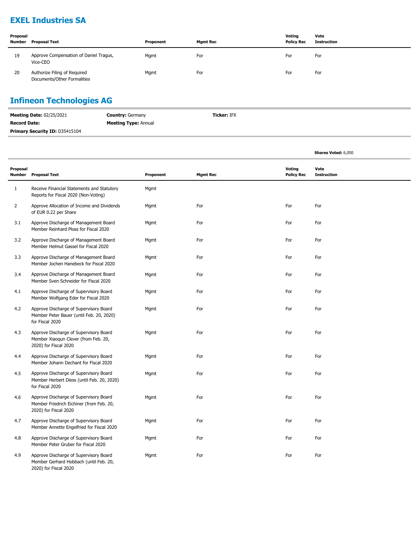### **EXEL Industries SA**

| Proposal<br>Number | <b>Proposal Text</b>                                        | Proponent | <b>Mgmt Rec</b> | Voting<br><b>Policy Rec</b> | Vote<br>Instruction |
|--------------------|-------------------------------------------------------------|-----------|-----------------|-----------------------------|---------------------|
| 19                 | Approve Compensation of Daniel Tragus,<br>Vice-CEO          | Mgmt      | For             | For                         | For                 |
| 20                 | Authorize Filing of Required<br>Documents/Other Formalities | Mgmt      | For             | For                         | For                 |

### **Infineon Technologies AG**

| <b>Meeting Date: 02/25/2021</b>       | <b>Country: Germany</b>     | <b>Ticker: IFX</b> |
|---------------------------------------|-----------------------------|--------------------|
| <b>Record Date:</b>                   | <b>Meeting Type: Annual</b> |                    |
| <b>Primary Security ID: D35415104</b> |                             |                    |

|                    |                                                                                                             |           |                 |                             | <b>Shares Voted: 6,050</b> |  |
|--------------------|-------------------------------------------------------------------------------------------------------------|-----------|-----------------|-----------------------------|----------------------------|--|
| Proposal<br>Number | <b>Proposal Text</b>                                                                                        | Proponent | <b>Mgmt Rec</b> | Voting<br><b>Policy Rec</b> | Vote<br><b>Instruction</b> |  |
| $\mathbf{1}$       | Receive Financial Statements and Statutory<br>Reports for Fiscal 2020 (Non-Voting)                          | Mgmt      |                 |                             |                            |  |
| $\overline{2}$     | Approve Allocation of Income and Dividends<br>of EUR 0.22 per Share                                         | Mgmt      | For             | For                         | For                        |  |
| 3.1                | Approve Discharge of Management Board<br>Member Reinhard Ploss for Fiscal 2020                              | Mgmt      | For             | For                         | For                        |  |
| 3.2                | Approve Discharge of Management Board<br>Member Helmut Gassel for Fiscal 2020                               | Mgmt      | For             | For                         | For                        |  |
| 3.3                | Approve Discharge of Management Board<br>Member Jochen Hanebeck for Fiscal 2020                             | Mgmt      | For             | For                         | For                        |  |
| 3.4                | Approve Discharge of Management Board<br>Member Sven Schneider for Fiscal 2020                              | Mgmt      | For             | For                         | For                        |  |
| 4.1                | Approve Discharge of Supervisory Board<br>Member Wolfgang Eder for Fiscal 2020                              | Mgmt      | For             | For                         | For                        |  |
| 4.2                | Approve Discharge of Supervisory Board<br>Member Peter Bauer (until Feb. 20, 2020)<br>for Fiscal 2020       | Mgmt      | For             | For                         | For                        |  |
| 4.3                | Approve Discharge of Supervisory Board<br>Member Xiaoqun Clever (from Feb. 20,<br>2020) for Fiscal 2020     | Mgmt      | For             | For                         | For                        |  |
| 4.4                | Approve Discharge of Supervisory Board<br>Member Johann Dechant for Fiscal 2020                             | Mgmt      | For             | For                         | For                        |  |
| 4.5                | Approve Discharge of Supervisory Board<br>Member Herbert Diess (until Feb. 20, 2020)<br>for Fiscal 2020     | Mgmt      | For             | For                         | For                        |  |
| 4.6                | Approve Discharge of Supervisory Board<br>Member Friedrich Eichiner (from Feb. 20,<br>2020) for Fiscal 2020 | Mgmt      | For             | For                         | For                        |  |
| 4.7                | Approve Discharge of Supervisory Board<br>Member Annette Engelfried for Fiscal 2020                         | Mgmt      | For             | For                         | For                        |  |
| 4.8                | Approve Discharge of Supervisory Board<br>Member Peter Gruber for Fiscal 2020                               | Mgmt      | For             | For                         | For                        |  |
| 4.9                | Approve Discharge of Supervisory Board<br>Member Gerhard Hobbach (until Feb. 20,<br>2020) for Fiscal 2020   | Mgmt      | For             | For                         | For                        |  |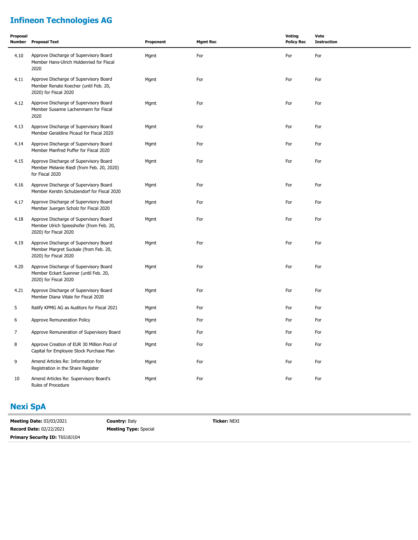# **Infineon Technologies AG**

| Proposal<br>Number | <b>Proposal Text</b>                                                                                        | Proponent | <b>Mgmt Rec</b> | Voting<br><b>Policy Rec</b> | Vote<br><b>Instruction</b> |
|--------------------|-------------------------------------------------------------------------------------------------------------|-----------|-----------------|-----------------------------|----------------------------|
| 4.10               | Approve Discharge of Supervisory Board<br>Member Hans-Ulrich Holdenried for Fiscal<br>2020                  | Mgmt      | For             | For                         | For                        |
| 4.11               | Approve Discharge of Supervisory Board<br>Member Renate Koecher (until Feb. 20,<br>2020) for Fiscal 2020    | Mgmt      | For             | For                         | For                        |
| 4.12               | Approve Discharge of Supervisory Board<br>Member Susanne Lachenmann for Fiscal<br>2020                      | Mgmt      | For             | For                         | For                        |
| 4.13               | Approve Discharge of Supervisory Board<br>Member Geraldine Picaud for Fiscal 2020                           | Mgmt      | For             | For                         | For                        |
| 4.14               | Approve Discharge of Supervisory Board<br>Member Manfred Puffer for Fiscal 2020                             | Mgmt      | For             | For                         | For                        |
| 4.15               | Approve Discharge of Supervisory Board<br>Member Melanie Riedl (from Feb. 20, 2020)<br>for Fiscal 2020      | Mgmt      | For             | For                         | For                        |
| 4.16               | Approve Discharge of Supervisory Board<br>Member Kerstin Schulzendorf for Fiscal 2020                       | Mgmt      | For             | For                         | For                        |
| 4.17               | Approve Discharge of Supervisory Board<br>Member Juergen Scholz for Fiscal 2020                             | Mgmt      | For             | For                         | For                        |
| 4.18               | Approve Discharge of Supervisory Board<br>Member Ulrich Spiesshofer (from Feb. 20,<br>2020) for Fiscal 2020 | Mgmt      | For             | For                         | For                        |
| 4.19               | Approve Discharge of Supervisory Board<br>Member Margret Suckale (from Feb. 20,<br>2020) for Fiscal 2020    | Mgmt      | For             | For                         | For                        |
| 4.20               | Approve Discharge of Supervisory Board<br>Member Eckart Suenner (until Feb. 20,<br>2020) for Fiscal 2020    | Mgmt      | For             | For                         | For                        |
| 4.21               | Approve Discharge of Supervisory Board<br>Member Diana Vitale for Fiscal 2020                               | Mgmt      | For             | For                         | For                        |
| 5                  | Ratify KPMG AG as Auditors for Fiscal 2021                                                                  | Mgmt      | For             | For                         | For                        |
| 6                  | Approve Remuneration Policy                                                                                 | Mgmt      | For             | For                         | For                        |
| 7                  | Approve Remuneration of Supervisory Board                                                                   | Mgmt      | For             | For                         | For                        |
| 8                  | Approve Creation of EUR 30 Million Pool of<br>Capital for Employee Stock Purchase Plan                      | Mgmt      | For             | For                         | For                        |
| 9                  | Amend Articles Re: Information for<br>Registration in the Share Register                                    | Mgmt      | For             | For                         | For                        |
| 10                 | Amend Articles Re: Supervisory Board's<br>Rules of Procedure                                                | Mgmt      | For             | For                         | For                        |

### **Nexi SpA**

**Meeting Date:** 03/03/2021 **Record Date:** 02/22/2021 **Country:** Italy **Meeting Type:** Special **Ticker:** NEXI **Primary Security ID:** T6S18J104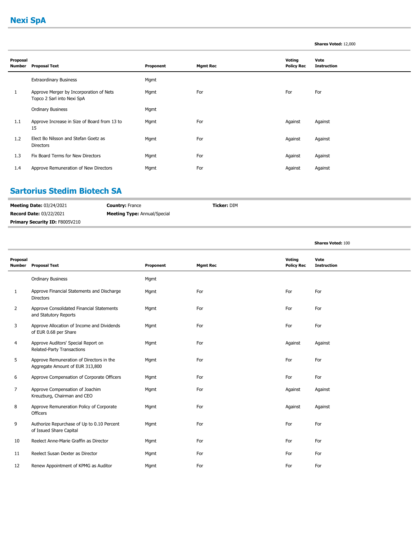### **Nexi SpA**

#### **Shares Voted:** 12,000

| Proposal<br>Number | <b>Proposal Text</b>                                                  | Proponent | <b>Mgmt Rec</b> | Voting<br><b>Policy Rec</b> | Vote<br><b>Instruction</b> |
|--------------------|-----------------------------------------------------------------------|-----------|-----------------|-----------------------------|----------------------------|
|                    | <b>Extraordinary Business</b>                                         | Mgmt      |                 |                             |                            |
| 1                  | Approve Merger by Incorporation of Nets<br>Topco 2 Sarl into Nexi SpA | Mgmt      | For             | For                         | For                        |
|                    | <b>Ordinary Business</b>                                              | Mgmt      |                 |                             |                            |
| 1.1                | Approve Increase in Size of Board from 13 to<br>15                    | Mgmt      | For             | Against                     | Against                    |
| 1.2                | Elect Bo Nilsson and Stefan Goetz as<br><b>Directors</b>              | Mgmt      | For             | Against                     | Against                    |
| 1.3                | Fix Board Terms for New Directors                                     | Mgmt      | For             | Against                     | Against                    |
| 1.4                | Approve Remuneration of New Directors                                 | Mgmt      | For             | Against                     | Against                    |

### **Sartorius Stedim Biotech SA**

| <b>Meeting Date: 03/24/2021</b> | <b>Country: France</b>              | <b>Ticker:</b> DIM |
|---------------------------------|-------------------------------------|--------------------|
| <b>Record Date: 03/22/2021</b>  | <b>Meeting Type: Annual/Special</b> |                    |
| Primary Security ID: F8005V210  |                                     |                    |

|                           |                                                                             |           |                 |                             | <b>Shares Voted: 100</b>   |
|---------------------------|-----------------------------------------------------------------------------|-----------|-----------------|-----------------------------|----------------------------|
| Proposal<br><b>Number</b> | <b>Proposal Text</b>                                                        | Proponent | <b>Mgmt Rec</b> | Voting<br><b>Policy Rec</b> | Vote<br><b>Instruction</b> |
|                           | <b>Ordinary Business</b>                                                    | Mgmt      |                 |                             |                            |
| 1                         | Approve Financial Statements and Discharge<br><b>Directors</b>              | Mgmt      | For             | For                         | For                        |
| 2                         | Approve Consolidated Financial Statements<br>and Statutory Reports          | Mgmt      | For             | For                         | For                        |
| 3                         | Approve Allocation of Income and Dividends<br>of EUR 0.68 per Share         | Mgmt      | For             | For                         | For                        |
| 4                         | Approve Auditors' Special Report on<br>Related-Party Transactions           | Mgmt      | For             | Against                     | Against                    |
| 5                         | Approve Remuneration of Directors in the<br>Aggregate Amount of EUR 313,800 | Mgmt      | For             | For                         | For                        |
| 6                         | Approve Compensation of Corporate Officers                                  | Mgmt      | For             | For                         | For                        |
| 7                         | Approve Compensation of Joachim<br>Kreuzburg, Chairman and CEO              | Mgmt      | For             | Against                     | Against                    |
| 8                         | Approve Remuneration Policy of Corporate<br>Officers                        | Mgmt      | For             | Against                     | Against                    |
| 9                         | Authorize Repurchase of Up to 0.10 Percent<br>of Issued Share Capital       | Mgmt      | For             | For                         | For                        |
| 10                        | Reelect Anne-Marie Graffin as Director                                      | Mgmt      | For             | For                         | For                        |
| 11                        | Reelect Susan Dexter as Director                                            | Mgmt      | For             | For                         | For                        |
| 12                        | Renew Appointment of KPMG as Auditor                                        | Mgmt      | For             | For                         | For                        |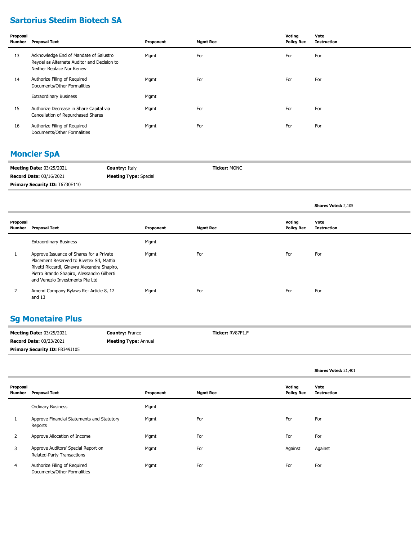### **Sartorius Stedim Biotech SA**

| Proposal<br>Number | <b>Proposal Text</b>                                                                                               | Proponent | <b>Mgmt Rec</b> | Voting<br><b>Policy Rec</b> | Vote<br><b>Instruction</b> |
|--------------------|--------------------------------------------------------------------------------------------------------------------|-----------|-----------------|-----------------------------|----------------------------|
| 13                 | Acknowledge End of Mandate of Salustro<br>Reydel as Alternate Auditor and Decision to<br>Neither Replace Nor Renew | Mgmt      | For             | For                         | For                        |
| 14                 | Authorize Filing of Required<br>Documents/Other Formalities                                                        | Mgmt      | For             | For                         | For                        |
|                    | <b>Extraordinary Business</b>                                                                                      | Mgmt      |                 |                             |                            |
| 15                 | Authorize Decrease in Share Capital via<br>Cancellation of Repurchased Shares                                      | Mgmt      | For             | For                         | For                        |
| 16                 | Authorize Filing of Required<br>Documents/Other Formalities                                                        | Mgmt      | For             | For                         | For                        |

### **Moncler SpA**

| <b>Meeting Date: 03/25/2021</b>       | <b>Country: Italy</b>        | <b>Ticker: MONC</b> |
|---------------------------------------|------------------------------|---------------------|
| <b>Record Date: 03/16/2021</b>        | <b>Meeting Type:</b> Special |                     |
| <b>Primary Security ID: T6730E110</b> |                              |                     |

|                    |                                                                                                                                                                                                                        |           |                 |                             | Shares Voted: 2,105        |
|--------------------|------------------------------------------------------------------------------------------------------------------------------------------------------------------------------------------------------------------------|-----------|-----------------|-----------------------------|----------------------------|
| Proposal<br>Number | <b>Proposal Text</b>                                                                                                                                                                                                   | Proponent | <b>Mgmt Rec</b> | Voting<br><b>Policy Rec</b> | Vote<br><b>Instruction</b> |
|                    | <b>Extraordinary Business</b>                                                                                                                                                                                          | Mgmt      |                 |                             |                            |
|                    | Approve Issuance of Shares for a Private<br>Placement Reserved to Rivetex Srl, Mattia<br>Rivetti Riccardi, Ginevra Alexandra Shapiro,<br>Pietro Brando Shapiro, Alessandro Gilberti<br>and Venezio Investments Pte Ltd | Mgmt      | For             | For                         | For                        |
|                    | Amend Company Bylaws Re: Article 8, 12<br>and 13                                                                                                                                                                       | Mgmt      | For             | For                         | For                        |

### **Sg Monetaire Plus**

| <b>Meeting Date: 03/25/2021</b> | <b>Country: France</b>      | <b>Ticker: RV87F1.F</b> |
|---------------------------------|-----------------------------|-------------------------|
| <b>Record Date: 03/23/2021</b>  | <b>Meeting Type: Annual</b> |                         |
| Primary Security ID: F8349J105  |                             |                         |

|                    |                                                                   |           |                 |                                    | Shares Voted: 21,401       |
|--------------------|-------------------------------------------------------------------|-----------|-----------------|------------------------------------|----------------------------|
| Proposal<br>Number | <b>Proposal Text</b>                                              | Proponent | <b>Mgmt Rec</b> | <b>Voting</b><br><b>Policy Rec</b> | Vote<br><b>Instruction</b> |
|                    | <b>Ordinary Business</b>                                          | Mgmt      |                 |                                    |                            |
| 1                  | Approve Financial Statements and Statutory<br>Reports             | Mgmt      | For             | For                                | For                        |
| $\overline{2}$     | Approve Allocation of Income                                      | Mgmt      | For             | For                                | For                        |
| 3                  | Approve Auditors' Special Report on<br>Related-Party Transactions | Mgmt      | For             | Against                            | Against                    |
| $\overline{4}$     | Authorize Filing of Required<br>Documents/Other Formalities       | Mgmt      | For             | For                                | For                        |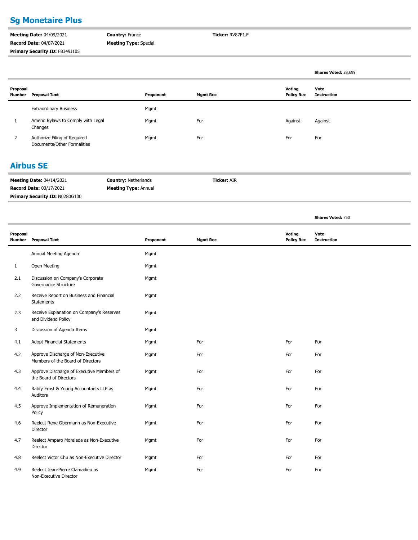### **Sg Monetaire Plus**

**Meeting Date:** 04/09/2021 **Record Date:** 04/07/2021 Primary Security ID: F8349J105 **Country:** France **Meeting Type:** Special **Ticker:** RV87F1.F

|                    |                                                             |           |                 |                             | Shares Voted: 28,699       |
|--------------------|-------------------------------------------------------------|-----------|-----------------|-----------------------------|----------------------------|
| Proposal<br>Number | <b>Proposal Text</b>                                        | Proponent | <b>Mgmt Rec</b> | Voting<br><b>Policy Rec</b> | Vote<br><b>Instruction</b> |
|                    | <b>Extraordinary Business</b>                               | Mgmt      |                 |                             |                            |
|                    | Amend Bylaws to Comply with Legal<br>Changes                | Mgmt      | For             | Against                     | Against                    |
| $\mathcal{L}$      | Authorize Filing of Required<br>Documents/Other Formalities | Mgmt      | For             | For                         | For                        |
|                    |                                                             |           |                 |                             |                            |

#### **Airbus SE**

| <b>Meeting Date: 04/14/2021</b>       | <b>Country: Netherlands</b> | <b>Ticker: AIR</b> |
|---------------------------------------|-----------------------------|--------------------|
| <b>Record Date: 03/17/2021</b>        | <b>Meeting Type: Annual</b> |                    |
| <b>Primary Security ID: N0280G100</b> |                             |                    |

|                           |                                                                         |           |                 |                             | <b>Shares Voted: 750</b>   |
|---------------------------|-------------------------------------------------------------------------|-----------|-----------------|-----------------------------|----------------------------|
| Proposal<br><b>Number</b> | <b>Proposal Text</b>                                                    | Proponent | <b>Mgmt Rec</b> | Voting<br><b>Policy Rec</b> | Vote<br><b>Instruction</b> |
|                           | Annual Meeting Agenda                                                   | Mgmt      |                 |                             |                            |
| $\mathbf{1}$              | Open Meeting                                                            | Mgmt      |                 |                             |                            |
| 2.1                       | Discussion on Company's Corporate<br>Governance Structure               | Mgmt      |                 |                             |                            |
| 2.2                       | Receive Report on Business and Financial<br>Statements                  | Mgmt      |                 |                             |                            |
| 2.3                       | Receive Explanation on Company's Reserves<br>and Dividend Policy        | Mgmt      |                 |                             |                            |
| 3                         | Discussion of Agenda Items                                              | Mgmt      |                 |                             |                            |
| 4.1                       | <b>Adopt Financial Statements</b>                                       | Mgmt      | For             | For                         | For                        |
| 4.2                       | Approve Discharge of Non-Executive<br>Members of the Board of Directors | Mgmt      | For             | For                         | For                        |
| 4.3                       | Approve Discharge of Executive Members of<br>the Board of Directors     | Mgmt      | For             | For                         | For                        |
| 4.4                       | Ratify Ernst & Young Accountants LLP as<br>Auditors                     | Mgmt      | For             | For                         | For                        |
| 4.5                       | Approve Implementation of Remuneration<br>Policy                        | Mgmt      | For             | For                         | For                        |
| 4.6                       | Reelect Rene Obermann as Non-Executive<br>Director                      | Mgmt      | For             | For                         | For                        |
| 4.7                       | Reelect Amparo Moraleda as Non-Executive<br>Director                    | Mgmt      | For             | For                         | For                        |
| 4.8                       | Reelect Victor Chu as Non-Executive Director                            | Mgmt      | For             | For                         | For                        |
| 4.9                       | Reelect Jean-Pierre Clamadieu as<br>Non-Executive Director              | Mgmt      | For             | For                         | For                        |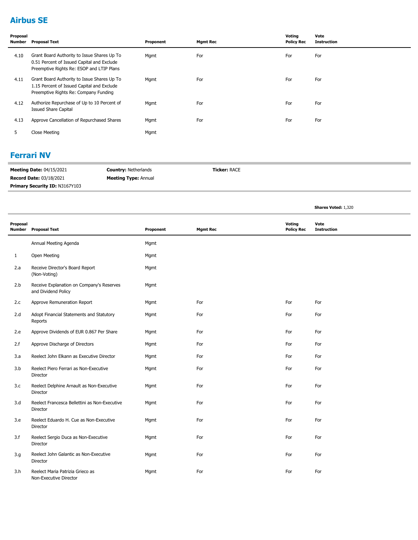### **Airbus SE**

| Proposal<br><b>Number</b> | Proposal Text                                                                                                                          | Proponent | <b>Mgmt Rec</b> | Voting<br><b>Policy Rec</b> | Vote<br><b>Instruction</b> |
|---------------------------|----------------------------------------------------------------------------------------------------------------------------------------|-----------|-----------------|-----------------------------|----------------------------|
| 4.10                      | Grant Board Authority to Issue Shares Up To<br>0.51 Percent of Issued Capital and Exclude<br>Preemptive Rights Re: ESOP and LTIP Plans | Mgmt      | For             | For                         | For                        |
| 4.11                      | Grant Board Authority to Issue Shares Up To<br>1.15 Percent of Issued Capital and Exclude<br>Preemptive Rights Re: Company Funding     | Mgmt      | For             | For                         | For                        |
| 4.12                      | Authorize Repurchase of Up to 10 Percent of<br><b>Issued Share Capital</b>                                                             | Mgmt      | For             | For                         | For                        |
| 4.13                      | Approve Cancellation of Repurchased Shares                                                                                             | Mgmt      | For             | For                         | For                        |
| 5                         | Close Meeting                                                                                                                          | Mgmt      |                 |                             |                            |

#### **Ferrari NV**

| <b>Meeting Date: 04/15/2021</b>       | <b>Country: Netherlands</b> | <b>Ticker: RACE</b> |
|---------------------------------------|-----------------------------|---------------------|
| <b>Record Date: 03/18/2021</b>        | <b>Meeting Type: Annual</b> |                     |
| <b>Primary Security ID: N3167Y103</b> |                             |                     |

**Shares Voted:** 1,320

| Proposal<br><b>Number</b> | <b>Proposal Text</b>                                             | Proponent | <b>Mgmt Rec</b> | Voting<br><b>Policy Rec</b> | Vote<br><b>Instruction</b> |
|---------------------------|------------------------------------------------------------------|-----------|-----------------|-----------------------------|----------------------------|
|                           | Annual Meeting Agenda                                            | Mgmt      |                 |                             |                            |
| $\mathbf{1}$              | Open Meeting                                                     | Mgmt      |                 |                             |                            |
| 2.a                       | Receive Director's Board Report<br>(Non-Voting)                  | Mgmt      |                 |                             |                            |
| 2.b                       | Receive Explanation on Company's Reserves<br>and Dividend Policy | Mgmt      |                 |                             |                            |
| 2.c                       | Approve Remuneration Report                                      | Mgmt      | For             | For                         | For                        |
| 2.d                       | Adopt Financial Statements and Statutory<br>Reports              | Mgmt      | For             | For                         | For                        |
| 2.e                       | Approve Dividends of EUR 0.867 Per Share                         | Mgmt      | For             | For                         | For                        |
| 2.f                       | Approve Discharge of Directors                                   | Mgmt      | For             | For                         | For                        |
| 3.a                       | Reelect John Elkann as Executive Director                        | Mgmt      | For             | For                         | For                        |
| 3.b                       | Reelect Piero Ferrari as Non-Executive<br>Director               | Mgmt      | For             | For                         | For                        |
| 3.c                       | Reelect Delphine Arnault as Non-Executive<br>Director            | Mgmt      | For             | For                         | For                        |
| 3.d                       | Reelect Francesca Bellettini as Non-Executive<br>Director        | Mgmt      | For             | For                         | For                        |
| 3.e                       | Reelect Eduardo H. Cue as Non-Executive<br>Director              | Mgmt      | For             | For                         | For                        |
| 3.f                       | Reelect Sergio Duca as Non-Executive<br>Director                 | Mgmt      | For             | For                         | For                        |
| 3.g                       | Reelect John Galantic as Non-Executive<br>Director               | Mgmt      | For             | For                         | For                        |
| 3.h                       | Reelect Maria Patrizia Grieco as<br>Non-Executive Director       | Mgmt      | For             | For                         | For                        |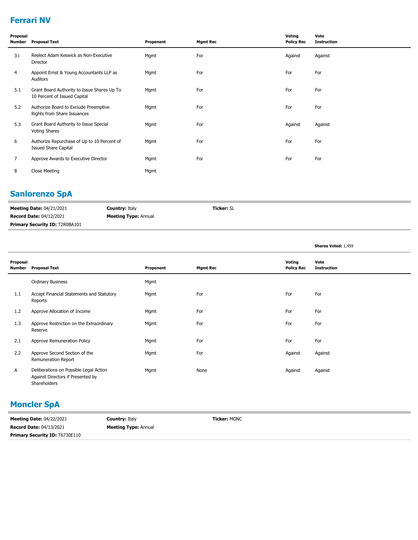### **Ferrari NV**

| Proposal<br>Number | <b>Proposal Text</b>                                                        | Proponent | <b>Mgmt Rec</b> | Voting<br><b>Policy Rec</b> | Vote<br><b>Instruction</b> |
|--------------------|-----------------------------------------------------------------------------|-----------|-----------------|-----------------------------|----------------------------|
| 3.i                | Reelect Adam Keswick as Non-Executive<br>Director                           | Mgmt      | For             | Against                     | Against                    |
| 4                  | Appoint Ernst & Young Accountants LLP as<br>Auditors                        | Mgmt      | For             | For                         | For                        |
| 5.1                | Grant Board Authority to Issue Shares Up To<br>10 Percent of Issued Capital | Mgmt      | For             | For                         | For                        |
| 5.2                | Authorize Board to Exclude Preemptive<br>Rights from Share Issuances        | Mgmt      | For             | For                         | For                        |
| 5.3                | Grant Board Authority to Issue Special<br><b>Voting Shares</b>              | Mgmt      | For             | Against                     | Against                    |
| 6                  | Authorize Repurchase of Up to 10 Percent of<br><b>Issued Share Capital</b>  | Mgmt      | For             | For                         | For                        |
| $\overline{7}$     | Approve Awards to Executive Director                                        | Mgmt      | For             | For                         | For                        |
| 8                  | Close Meeting                                                               | Mgmt      |                 |                             |                            |

### **Sanlorenzo SpA**

| <b>Meeting Date: 04/21/2021</b>       | <b>Country: Italy</b>       | <b>Ticker: SL</b> |
|---------------------------------------|-----------------------------|-------------------|
| <b>Record Date: 04/12/2021</b>        | <b>Meeting Type: Annual</b> |                   |
| <b>Primary Security ID: T2R0BA101</b> |                             |                   |

|                    |                                                                                             |           |                 |                             | Shares Voted: 1,459        |
|--------------------|---------------------------------------------------------------------------------------------|-----------|-----------------|-----------------------------|----------------------------|
| Proposal<br>Number | <b>Proposal Text</b>                                                                        | Proponent | <b>Mgmt Rec</b> | Voting<br><b>Policy Rec</b> | Vote<br><b>Instruction</b> |
|                    | <b>Ordinary Business</b>                                                                    | Mgmt      |                 |                             |                            |
| 1.1                | Accept Financial Statements and Statutory<br>Reports                                        | Mgmt      | For             | For                         | For                        |
| 1.2                | Approve Allocation of Income                                                                | Mgmt      | For             | For                         | For                        |
| 1.3                | Approve Restriction on the Extraordinary<br>Reserve                                         | Mgmt      | For             | For                         | For                        |
| 2.1                | Approve Remuneration Policy                                                                 | Mgmt      | For             | For                         | For                        |
| 2.2                | Approve Second Section of the<br>Remuneration Report                                        | Mgmt      | For             | Against                     | Against                    |
| A                  | Deliberations on Possible Legal Action<br>Against Directors if Presented by<br>Shareholders | Mgmt      | None            | Against                     | Against                    |

### **Moncler SpA**

| <b>Meeting Date: 04/22/2021</b>       | <b>Country: Italy</b>       | <b>Ticker: MONC</b> |
|---------------------------------------|-----------------------------|---------------------|
| <b>Record Date: 04/13/2021</b>        | <b>Meeting Type: Annual</b> |                     |
| <b>Primary Security ID: T6730E110</b> |                             |                     |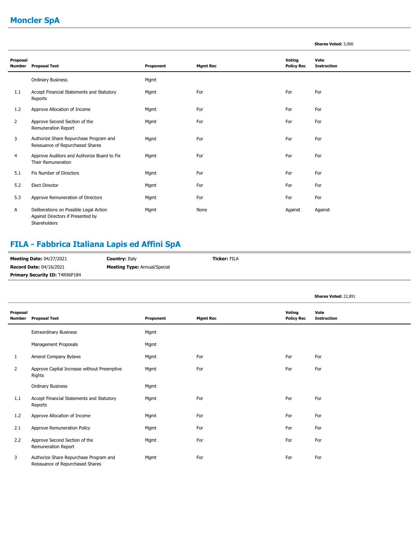### **Moncler SpA**

|                           |                                                                                             |           |                 |                                    | <b>Shares Voted: 3,000</b> |
|---------------------------|---------------------------------------------------------------------------------------------|-----------|-----------------|------------------------------------|----------------------------|
| Proposal<br><b>Number</b> | <b>Proposal Text</b>                                                                        | Proponent | <b>Mgmt Rec</b> | <b>Voting</b><br><b>Policy Rec</b> | Vote<br><b>Instruction</b> |
|                           | <b>Ordinary Business</b>                                                                    | Mgmt      |                 |                                    |                            |
| 1.1                       | Accept Financial Statements and Statutory<br>Reports                                        | Mgmt      | For             | For                                | For                        |
| 1.2                       | Approve Allocation of Income                                                                | Mgmt      | For             | For                                | For                        |
| $\overline{2}$            | Approve Second Section of the<br>Remuneration Report                                        | Mgmt      | For             | For                                | For                        |
| 3                         | Authorize Share Repurchase Program and<br>Reissuance of Repurchased Shares                  | Mgmt      | For             | For                                | For                        |
| 4                         | Approve Auditors and Authorize Board to Fix<br>Their Remuneration                           | Mgmt      | For             | For                                | For                        |
| 5.1                       | Fix Number of Directors                                                                     | Mgmt      | For             | For                                | For                        |
| 5.2                       | <b>Elect Director</b>                                                                       | Mgmt      | For             | For                                | For                        |
| 5.3                       | Approve Remuneration of Directors                                                           | Mgmt      | For             | For                                | For                        |
| A                         | Deliberations on Possible Legal Action<br>Against Directors if Presented by<br>Shareholders | Mgmt      | None            | Against                            | Against                    |

### **FILA - Fabbrica Italiana Lapis ed Affini SpA**

| <b>Meeting Date: 04/27/2021</b>       | <b>Country: Italy</b>               | <b>Ticker:</b> FILA |
|---------------------------------------|-------------------------------------|---------------------|
| <b>Record Date: 04/16/2021</b>        | <b>Meeting Type: Annual/Special</b> |                     |
| <b>Primary Security ID: T4R96P184</b> |                                     |                     |

|                    |                                                                            |           |                 |                             | Shares Voted: 22,891       |
|--------------------|----------------------------------------------------------------------------|-----------|-----------------|-----------------------------|----------------------------|
| Proposal<br>Number | <b>Proposal Text</b>                                                       | Proponent | <b>Mgmt Rec</b> | Voting<br><b>Policy Rec</b> | Vote<br><b>Instruction</b> |
|                    | <b>Extraordinary Business</b>                                              | Mgmt      |                 |                             |                            |
|                    | Management Proposals                                                       | Mgmt      |                 |                             |                            |
| 1                  | Amend Company Bylaws                                                       | Mgmt      | For             | For                         | For                        |
| 2                  | Approve Capital Increase without Preemptive<br>Rights                      | Mgmt      | For             | For                         | For                        |
|                    | <b>Ordinary Business</b>                                                   | Mgmt      |                 |                             |                            |
| 1.1                | Accept Financial Statements and Statutory<br>Reports                       | Mgmt      | For             | For                         | For                        |
| 1.2                | Approve Allocation of Income                                               | Mgmt      | For             | For                         | For                        |
| 2.1                | Approve Remuneration Policy                                                | Mgmt      | For             | For                         | For                        |
| 2.2                | Approve Second Section of the<br>Remuneration Report                       | Mgmt      | For             | For                         | For                        |
| 3                  | Authorize Share Repurchase Program and<br>Reissuance of Repurchased Shares | Mgmt      | For             | For                         | For                        |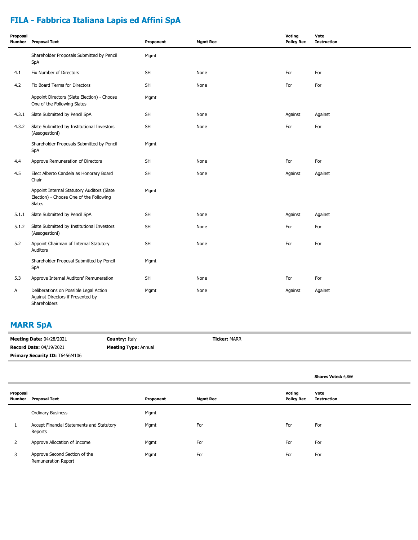### **FILA - Fabbrica Italiana Lapis ed Affini SpA**

| Proposal<br>Number | <b>Proposal Text</b>                                                                            | Proponent | <b>Mgmt Rec</b> | Voting<br><b>Policy Rec</b> | Vote<br><b>Instruction</b> |
|--------------------|-------------------------------------------------------------------------------------------------|-----------|-----------------|-----------------------------|----------------------------|
|                    | Shareholder Proposals Submitted by Pencil<br>SpA                                                | Mgmt      |                 |                             |                            |
| 4.1                | Fix Number of Directors                                                                         | <b>SH</b> | None            | For                         | For                        |
| 4.2                | Fix Board Terms for Directors                                                                   | SH        | None            | For                         | For                        |
|                    | Appoint Directors (Slate Election) - Choose<br>One of the Following Slates                      | Mgmt      |                 |                             |                            |
| 4.3.1              | Slate Submitted by Pencil SpA                                                                   | <b>SH</b> | None            | Against                     | Against                    |
| 4.3.2              | Slate Submitted by Institutional Investors<br>(Assogestioni)                                    | <b>SH</b> | None            | For                         | For                        |
|                    | Shareholder Proposals Submitted by Pencil<br>SpA                                                | Mgmt      |                 |                             |                            |
| 4.4                | Approve Remuneration of Directors                                                               | <b>SH</b> | None            | For                         | For                        |
| 4.5                | Elect Alberto Candela as Honorary Board<br>Chair                                                | SH        | None            | Against                     | Against                    |
|                    | Appoint Internal Statutory Auditors (Slate<br>Election) - Choose One of the Following<br>Slates | Mgmt      |                 |                             |                            |
| 5.1.1              | Slate Submitted by Pencil SpA                                                                   | <b>SH</b> | None            | Against                     | Against                    |
| 5.1.2              | Slate Submitted by Institutional Investors<br>(Assogestioni)                                    | SH        | None            | For                         | For                        |
| 5.2                | Appoint Chairman of Internal Statutory<br><b>Auditors</b>                                       | SH        | None            | For                         | For                        |
|                    | Shareholder Proposal Submitted by Pencil<br>SpA                                                 | Mgmt      |                 |                             |                            |
| 5.3                | Approve Internal Auditors' Remuneration                                                         | <b>SH</b> | None            | For                         | For                        |
| Α                  | Deliberations on Possible Legal Action<br>Against Directors if Presented by<br>Shareholders     | Mgmt      | None            | Against                     | Against                    |

#### **MARR SpA**

| <b>Meeting Date: 04/28/2021</b> | <b>Country: Italy</b>       | <b>Ticker: MARR</b> |
|---------------------------------|-----------------------------|---------------------|
| <b>Record Date: 04/19/2021</b>  | <b>Meeting Type: Annual</b> |                     |
| Primary Security ID: T6456M106  |                             |                     |

|                    |                                                      |           |                 |                             | Shares Voted: 6,866        |
|--------------------|------------------------------------------------------|-----------|-----------------|-----------------------------|----------------------------|
| Proposal<br>Number | <b>Proposal Text</b>                                 | Proponent | <b>Mgmt Rec</b> | Voting<br><b>Policy Rec</b> | Vote<br><b>Instruction</b> |
|                    | <b>Ordinary Business</b>                             | Mgmt      |                 |                             |                            |
|                    | Accept Financial Statements and Statutory<br>Reports | Mgmt      | For             | For                         | For                        |
| 2                  | Approve Allocation of Income                         | Mgmt      | For             | For                         | For                        |
| 3                  | Approve Second Section of the<br>Remuneration Report | Mgmt      | For             | For                         | For                        |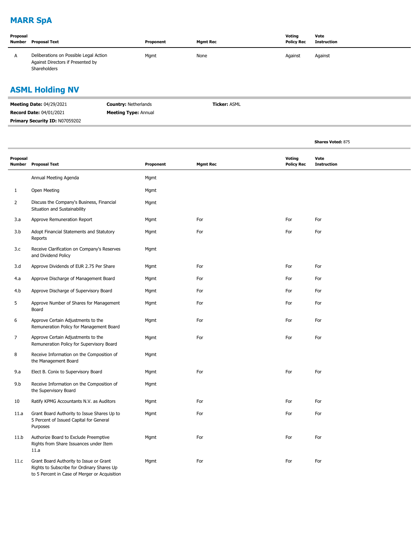### **MARR SpA**

| Proposal<br>Number | <b>Proposal Text</b>                                                                        | Proponent | <b>Mgmt Rec</b> | Voting<br><b>Policy Rec</b> | Vote<br>Instruction |
|--------------------|---------------------------------------------------------------------------------------------|-----------|-----------------|-----------------------------|---------------------|
| A                  | Deliberations on Possible Legal Action<br>Against Directors if Presented by<br>Shareholders | Mgmt      | None            | Against                     | Against             |

### **ASML Holding NV**

| <b>Meeting Date: 04/29/2021</b> | <b>Country: Netherlands</b> | <b>Ticker:</b> ASML |
|---------------------------------|-----------------------------|---------------------|
| <b>Record Date: 04/01/2021</b>  | <b>Meeting Type: Annual</b> |                     |
| Primary Security ID: N07059202  |                             |                     |

|                           |                                                                                                                                        |           |                 |        |                   | <b>Shares Voted: 875</b>   |
|---------------------------|----------------------------------------------------------------------------------------------------------------------------------------|-----------|-----------------|--------|-------------------|----------------------------|
| Proposal<br><b>Number</b> | <b>Proposal Text</b>                                                                                                                   | Proponent | <b>Mgmt Rec</b> | Voting | <b>Policy Rec</b> | Vote<br><b>Instruction</b> |
|                           | Annual Meeting Agenda                                                                                                                  | Mgmt      |                 |        |                   |                            |
| $\mathbf{1}$              | Open Meeting                                                                                                                           | Mgmt      |                 |        |                   |                            |
| $\overline{2}$            | Discuss the Company's Business, Financial<br>Situation and Sustainability                                                              | Mgmt      |                 |        |                   |                            |
| 3.a                       | Approve Remuneration Report                                                                                                            | Mgmt      | For             | For    |                   | For                        |
| 3.b                       | Adopt Financial Statements and Statutory<br>Reports                                                                                    | Mgmt      | For             | For    |                   | For                        |
| 3.c                       | Receive Clarification on Company's Reserves<br>and Dividend Policy                                                                     | Mgmt      |                 |        |                   |                            |
| 3.d                       | Approve Dividends of EUR 2.75 Per Share                                                                                                | Mgmt      | For             | For    |                   | For                        |
| 4.a                       | Approve Discharge of Management Board                                                                                                  | Mgmt      | For             | For    |                   | For                        |
| 4.b                       | Approve Discharge of Supervisory Board                                                                                                 | Mgmt      | For             | For    |                   | For                        |
| 5                         | Approve Number of Shares for Management<br>Board                                                                                       | Mgmt      | For             | For    |                   | For                        |
| 6                         | Approve Certain Adjustments to the<br>Remuneration Policy for Management Board                                                         | Mgmt      | For             | For    |                   | For                        |
| 7                         | Approve Certain Adjustments to the<br>Remuneration Policy for Supervisory Board                                                        | Mgmt      | For             | For    |                   | For                        |
| 8                         | Receive Information on the Composition of<br>the Management Board                                                                      | Mgmt      |                 |        |                   |                            |
| 9.a                       | Elect B. Conix to Supervisory Board                                                                                                    | Mgmt      | For             | For    |                   | For                        |
| 9.b                       | Receive Information on the Composition of<br>the Supervisory Board                                                                     | Mgmt      |                 |        |                   |                            |
| 10                        | Ratify KPMG Accountants N.V. as Auditors                                                                                               | Mgmt      | For             | For    |                   | For                        |
| 11.a                      | Grant Board Authority to Issue Shares Up to<br>5 Percent of Issued Capital for General<br>Purposes                                     | Mgmt      | For             | For    |                   | For                        |
| 11.b                      | Authorize Board to Exclude Preemptive<br>Rights from Share Issuances under Item<br>11.a                                                | Mgmt      | For             | For    |                   | For                        |
| 11.c                      | Grant Board Authority to Issue or Grant<br>Rights to Subscribe for Ordinary Shares Up<br>to 5 Percent in Case of Merger or Acquisition | Mgmt      | For             | For    |                   | For                        |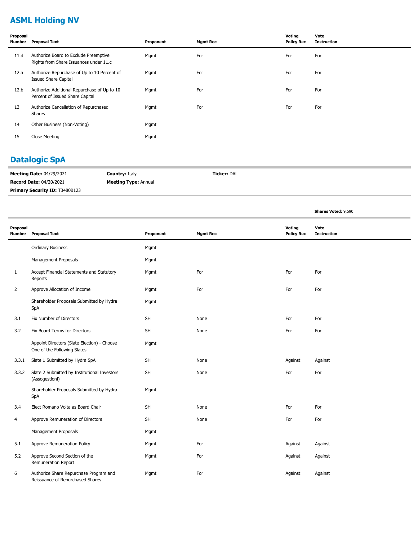### **ASML Holding NV**

| Proposal<br>Number | Proposal Text                                                                   | Proponent | <b>Mgmt Rec</b> | Voting<br><b>Policy Rec</b> | Vote<br><b>Instruction</b> |
|--------------------|---------------------------------------------------------------------------------|-----------|-----------------|-----------------------------|----------------------------|
| 11.d               | Authorize Board to Exclude Preemptive<br>Rights from Share Issuances under 11.c | Mgmt      | For             | For                         | For                        |
| 12.a               | Authorize Repurchase of Up to 10 Percent of<br><b>Issued Share Capital</b>      | Mgmt      | For             | For                         | For                        |
| 12.b               | Authorize Additional Repurchase of Up to 10<br>Percent of Issued Share Capital  | Mgmt      | For             | For                         | For                        |
| 13                 | Authorize Cancellation of Repurchased<br>Shares                                 | Mgmt      | For             | For                         | For                        |
| 14                 | Other Business (Non-Voting)                                                     | Mgmt      |                 |                             |                            |
| 15                 | Close Meeting                                                                   | Mgmt      |                 |                             |                            |

### **Datalogic SpA**

| <b>Meeting Date: 04/29/2021</b>       | <b>Country: Italy</b>       | <b>Ticker:</b> DAL |
|---------------------------------------|-----------------------------|--------------------|
| <b>Record Date: 04/20/2021</b>        | <b>Meeting Type: Annual</b> |                    |
| <b>Primary Security ID: T3480B123</b> |                             |                    |

**Shares Voted:** 9,590

| Proposal<br>Number | <b>Proposal Text</b>                                                       | Proponent | <b>Mgmt Rec</b> | Voting<br><b>Policy Rec</b> | Vote<br><b>Instruction</b> |
|--------------------|----------------------------------------------------------------------------|-----------|-----------------|-----------------------------|----------------------------|
|                    | <b>Ordinary Business</b>                                                   | Mgmt      |                 |                             |                            |
|                    | Management Proposals                                                       | Mgmt      |                 |                             |                            |
| $\mathbf{1}$       | Accept Financial Statements and Statutory<br>Reports                       | Mgmt      | For             | For                         | For                        |
| $\overline{2}$     | Approve Allocation of Income                                               | Mgmt      | For             | For                         | For                        |
|                    | Shareholder Proposals Submitted by Hydra<br>SpA                            | Mgmt      |                 |                             |                            |
| 3.1                | Fix Number of Directors                                                    | <b>SH</b> | None            | For                         | For                        |
| 3.2                | Fix Board Terms for Directors                                              | <b>SH</b> | None            | For                         | For                        |
|                    | Appoint Directors (Slate Election) - Choose<br>One of the Following Slates | Mgmt      |                 |                             |                            |
| 3.3.1              | Slate 1 Submitted by Hydra SpA                                             | SH        | None            | Against                     | Against                    |
| 3.3.2              | Slate 2 Submitted by Institutional Investors<br>(Assogestioni)             | SH        | None            | For                         | For                        |
|                    | Shareholder Proposals Submitted by Hydra<br>SpA                            | Mgmt      |                 |                             |                            |
| 3.4                | Elect Romano Volta as Board Chair                                          | <b>SH</b> | None            | For                         | For                        |
| 4                  | Approve Remuneration of Directors                                          | SH        | None            | For                         | For                        |
|                    | Management Proposals                                                       | Mgmt      |                 |                             |                            |
| 5.1                | Approve Remuneration Policy                                                | Mgmt      | For             | Against                     | Against                    |
| 5.2                | Approve Second Section of the<br>Remuneration Report                       | Mgmt      | For             | Against                     | Against                    |
| 6                  | Authorize Share Repurchase Program and<br>Reissuance of Repurchased Shares | Mgmt      | For             | Against                     | Against                    |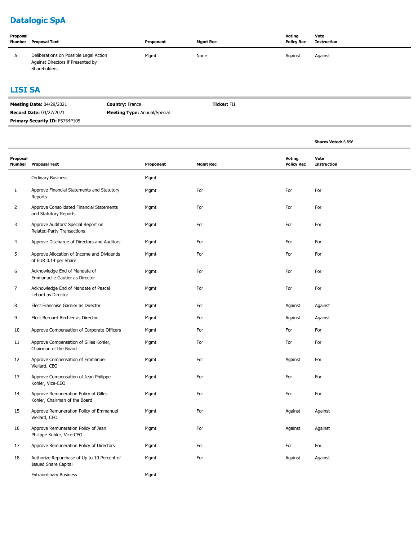# **Datalogic SpA**

| Proposal<br>Number | Proposal Text                                                                               | Proponent | <b>Mamt Rec</b> | Voting<br><b>Policy Rec</b> | Vote<br><b>Instruction</b> |
|--------------------|---------------------------------------------------------------------------------------------|-----------|-----------------|-----------------------------|----------------------------|
| $\overline{A}$     | Deliberations on Possible Legal Action<br>Against Directors if Presented by<br>Shareholders | Mgmt      | None            | Against                     | Against                    |

#### **LISI SA**

| <b>Meeting Date: 04/29/2021</b>       | <b>Country: France</b>              | <b>Ticker: FII</b> |
|---------------------------------------|-------------------------------------|--------------------|
| <b>Record Date: 04/27/2021</b>        | <b>Meeting Type: Annual/Special</b> |                    |
| <b>Primary Security ID: F5754P105</b> |                                     |                    |

|                |                                                                            |           |                 |                             | Shares Voted: 6,896        |  |
|----------------|----------------------------------------------------------------------------|-----------|-----------------|-----------------------------|----------------------------|--|
| Proposal       | Number Proposal Text                                                       | Proponent | <b>Mgmt Rec</b> | Voting<br><b>Policy Rec</b> | Vote<br><b>Instruction</b> |  |
|                | <b>Ordinary Business</b>                                                   | Mgmt      |                 |                             |                            |  |
| 1              | Approve Financial Statements and Statutory<br>Reports                      | Mgmt      | For             | For                         | For                        |  |
| $\overline{2}$ | Approve Consolidated Financial Statements<br>and Statutory Reports         | Mgmt      | For             | For                         | For                        |  |
| 3              | Approve Auditors' Special Report on<br>Related-Party Transactions          | Mgmt      | For             | For                         | For                        |  |
| 4              | Approve Discharge of Directors and Auditors                                | Mgmt      | For             | For                         | For                        |  |
| 5              | Approve Allocation of Income and Dividends<br>of EUR 0.14 per Share        | Mgmt      | For             | For                         | For                        |  |
| 6              | Acknowledge End of Mandate of<br>Emmanuelle Gautier as Director            | Mgmt      | For             | For                         | For                        |  |
| $\overline{7}$ | Acknowledge End of Mandate of Pascal<br>Lebard as Director                 | Mgmt      | For             | For                         | For                        |  |
| 8              | Elect Francoise Garnier as Director                                        | Mgmt      | For             | Against                     | Against                    |  |
| 9              | Elect Bernard Birchler as Director                                         | Mgmt      | For             | Against                     | Against                    |  |
| 10             | Approve Compensation of Corporate Officers                                 | Mgmt      | For             | For                         | For                        |  |
| 11             | Approve Compensation of Gilles Kohler,<br>Chairman of the Board            | Mgmt      | For             | For                         | For                        |  |
| 12             | Approve Compensation of Emmanuel<br>Viellard, CEO                          | Mgmt      | For             | Against                     | For                        |  |
| 13             | Approve Compensation of Jean Philippe<br>Kohler, Vice-CEO                  | Mgmt      | For             | For                         | For                        |  |
| 14             | Approve Remuneration Policy of Gilles<br>Kohler, Chairman of the Board     | Mgmt      | For             | For                         | For                        |  |
| 15             | Approve Remuneration Policy of Emmanuel<br>Viellard, CEO                   | Mgmt      | For             | Against                     | Against                    |  |
| 16             | Approve Remuneration Policy of Jean<br>Philippe Kohler, Vice-CEO           | Mgmt      | For             | Against                     | Against                    |  |
| 17             | Approve Remuneration Policy of Directors                                   | Mgmt      | For             | For                         | For                        |  |
| 18             | Authorize Repurchase of Up to 10 Percent of<br><b>Issued Share Capital</b> | Mgmt      | For             | Against                     | Against                    |  |
|                | <b>Extraordinary Business</b>                                              | Mgmt      |                 |                             |                            |  |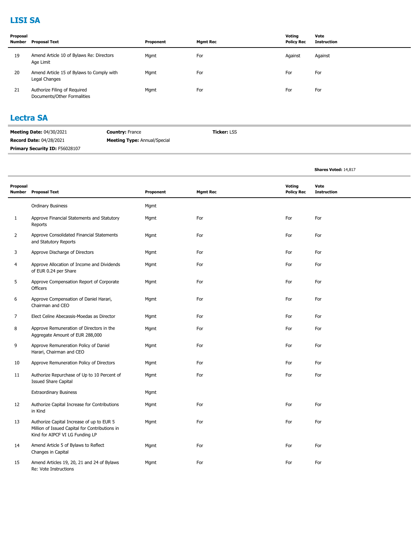### **LISI SA**

| Proposal<br>Number | Proposal Text                                               | Proponent | <b>Mgmt Rec</b> | Voting<br><b>Policy Rec</b> | Vote<br><b>Instruction</b> |
|--------------------|-------------------------------------------------------------|-----------|-----------------|-----------------------------|----------------------------|
| 19                 | Amend Article 10 of Bylaws Re: Directors<br>Age Limit       | Mgmt      | For             | Against                     | Against                    |
| 20                 | Amend Article 15 of Bylaws to Comply with<br>Legal Changes  | Mgmt      | For             | For                         | For                        |
| 21                 | Authorize Filing of Required<br>Documents/Other Formalities | Mgmt      | For             | For                         | For                        |

#### **Lectra SA**

| <b>Meeting Date: 04/30/2021</b>       | <b>Country: France</b>              | <b>Ticker: LSS</b> |
|---------------------------------------|-------------------------------------|--------------------|
| <b>Record Date: 04/28/2021</b>        | <b>Meeting Type:</b> Annual/Special |                    |
| <b>Primary Security ID: F56028107</b> |                                     |                    |

|                    |                                                                                                                                |           |                 |                             | Shares Voted: 14,817       |
|--------------------|--------------------------------------------------------------------------------------------------------------------------------|-----------|-----------------|-----------------------------|----------------------------|
| Proposal<br>Number | <b>Proposal Text</b>                                                                                                           | Proponent | <b>Mgmt Rec</b> | Voting<br><b>Policy Rec</b> | Vote<br><b>Instruction</b> |
|                    | <b>Ordinary Business</b>                                                                                                       | Mgmt      |                 |                             |                            |
| 1                  | Approve Financial Statements and Statutory<br>Reports                                                                          | Mgmt      | For             | For                         | For                        |
| 2                  | Approve Consolidated Financial Statements<br>and Statutory Reports                                                             | Mgmt      | For             | For                         | For                        |
| 3                  | Approve Discharge of Directors                                                                                                 | Mgmt      | For             | For                         | For                        |
| $\overline{4}$     | Approve Allocation of Income and Dividends<br>of EUR 0.24 per Share                                                            | Mgmt      | For             | For                         | For                        |
| 5                  | Approve Compensation Report of Corporate<br>Officers                                                                           | Mgmt      | For             | For                         | For                        |
| 6                  | Approve Compensation of Daniel Harari,<br>Chairman and CEO                                                                     | Mgmt      | For             | For                         | For                        |
| $\overline{7}$     | Elect Celine Abecassis-Moedas as Director                                                                                      | Mgmt      | For             | For                         | For                        |
| 8                  | Approve Remuneration of Directors in the<br>Aggregate Amount of EUR 288,000                                                    | Mgmt      | For             | For                         | For                        |
| 9                  | Approve Remuneration Policy of Daniel<br>Harari, Chairman and CEO                                                              | Mgmt      | For             | For                         | For                        |
| 10                 | Approve Remuneration Policy of Directors                                                                                       | Mgmt      | For             | For                         | For                        |
| 11                 | Authorize Repurchase of Up to 10 Percent of<br><b>Issued Share Capital</b>                                                     | Mgmt      | For             | For                         | For                        |
|                    | <b>Extraordinary Business</b>                                                                                                  | Mgmt      |                 |                             |                            |
| 12                 | Authorize Capital Increase for Contributions<br>in Kind                                                                        | Mgmt      | For             | For                         | For                        |
| 13                 | Authorize Capital Increase of up to EUR 5<br>Million of Issued Capital for Contributions in<br>Kind for AIPCF VI LG Funding LP | Mgmt      | For             | For                         | For                        |
| 14                 | Amend Article 5 of Bylaws to Reflect<br>Changes in Capital                                                                     | Mgmt      | For             | For                         | For                        |
| 15                 | Amend Articles 19, 20, 21 and 24 of Bylaws<br>Re: Vote Instructions                                                            | Mgmt      | For             | For                         | For                        |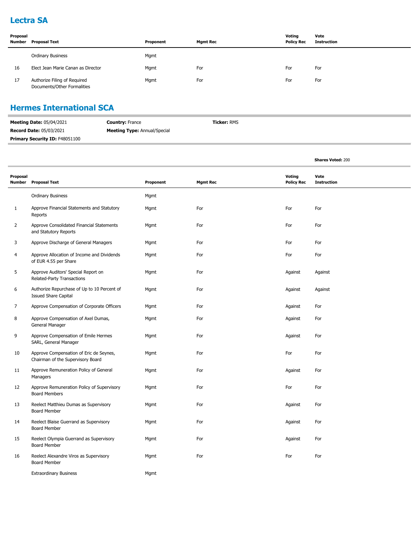#### **Lectra SA**

| Proposal<br>Number | Proposal Text                                               | Proponent | <b>Mgmt Rec</b> | Voting<br><b>Policy Rec</b> | Vote<br>Instruction |
|--------------------|-------------------------------------------------------------|-----------|-----------------|-----------------------------|---------------------|
|                    | <b>Ordinary Business</b>                                    | Mgmt      |                 |                             |                     |
| 16                 | Elect Jean Marie Canan as Director                          | Mgmt      | For             | For                         | For                 |
| 17                 | Authorize Filing of Required<br>Documents/Other Formalities | Mgmt      | For             | For                         | For                 |

### **Hermes International SCA**

| <b>Meeting Date: 05/04/2021</b>       | <b>Country: France</b>              | <b>Ticker: RMS</b> |
|---------------------------------------|-------------------------------------|--------------------|
| <b>Record Date: 05/03/2021</b>        | <b>Meeting Type: Annual/Special</b> |                    |
| <b>Primary Security ID: F48051100</b> |                                     |                    |

|                           |                                                                              |           |                 |                                    | <b>Shares Voted: 200</b>   |  |
|---------------------------|------------------------------------------------------------------------------|-----------|-----------------|------------------------------------|----------------------------|--|
| Proposal<br><b>Number</b> | <b>Proposal Text</b>                                                         | Proponent | <b>Mgmt Rec</b> | <b>Voting</b><br><b>Policy Rec</b> | Vote<br><b>Instruction</b> |  |
|                           | <b>Ordinary Business</b>                                                     | Mgmt      |                 |                                    |                            |  |
| $\mathbf{1}$              | Approve Financial Statements and Statutory<br>Reports                        | Mgmt      | For             | For                                | For                        |  |
| $\overline{2}$            | Approve Consolidated Financial Statements<br>and Statutory Reports           | Mgmt      | For             | For                                | For                        |  |
| 3                         | Approve Discharge of General Managers                                        | Mgmt      | For             | For                                | For                        |  |
| 4                         | Approve Allocation of Income and Dividends<br>of EUR 4.55 per Share          | Mgmt      | For             | For                                | For                        |  |
| 5                         | Approve Auditors' Special Report on<br>Related-Party Transactions            | Mgmt      | For             | Against                            | Against                    |  |
| 6                         | Authorize Repurchase of Up to 10 Percent of<br><b>Issued Share Capital</b>   | Mgmt      | For             | Against                            | Against                    |  |
| $\overline{7}$            | Approve Compensation of Corporate Officers                                   | Mgmt      | For             | Against                            | For                        |  |
| 8                         | Approve Compensation of Axel Dumas,<br>General Manager                       | Mgmt      | For             | Against                            | For                        |  |
| 9                         | Approve Compensation of Emile Hermes<br>SARL, General Manager                | Mgmt      | For             | Against                            | For                        |  |
| 10                        | Approve Compensation of Eric de Seynes,<br>Chairman of the Supervisory Board | Mgmt      | For             | For                                | For                        |  |
| 11                        | Approve Remuneration Policy of General<br>Managers                           | Mgmt      | For             | Against                            | For                        |  |
| 12                        | Approve Remuneration Policy of Supervisory<br><b>Board Members</b>           | Mgmt      | For             | For                                | For                        |  |
| 13                        | Reelect Matthieu Dumas as Supervisory<br>Board Member                        | Mgmt      | For             | Against                            | For                        |  |
| 14                        | Reelect Blaise Guerrand as Supervisory<br>Board Member                       | Mgmt      | For             | Against                            | For                        |  |
| 15                        | Reelect Olympia Guerrand as Supervisory<br>Board Member                      | Mgmt      | For             | Against                            | For                        |  |
| 16                        | Reelect Alexandre Viros as Supervisory<br>Board Member                       | Mgmt      | For             | For                                | For                        |  |
|                           | <b>Extraordinary Business</b>                                                | Mgmt      |                 |                                    |                            |  |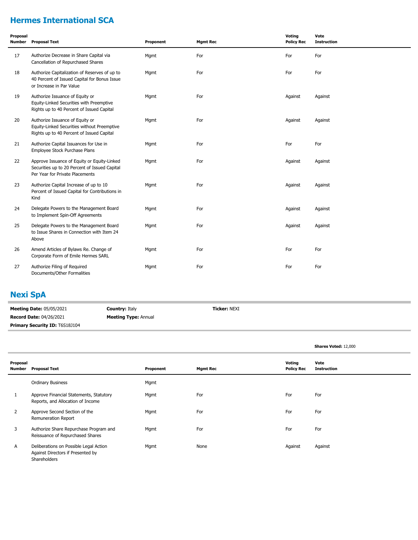### **Hermes International SCA**

| Proposal<br>Number | <b>Proposal Text</b>                                                                                                            | Proponent | <b>Mgmt Rec</b> | Voting<br><b>Policy Rec</b> | Vote<br><b>Instruction</b> |
|--------------------|---------------------------------------------------------------------------------------------------------------------------------|-----------|-----------------|-----------------------------|----------------------------|
| 17                 | Authorize Decrease in Share Capital via<br>Cancellation of Repurchased Shares                                                   | Mgmt      | For             | For                         | For                        |
| 18                 | Authorize Capitalization of Reserves of up to<br>40 Percent of Issued Capital for Bonus Issue<br>or Increase in Par Value       | Mgmt      | For             | For                         | For                        |
| 19                 | Authorize Issuance of Equity or<br>Equity-Linked Securities with Preemptive<br>Rights up to 40 Percent of Issued Capital        | Mgmt      | For             | Against                     | Against                    |
| 20                 | Authorize Issuance of Equity or<br>Equity-Linked Securities without Preemptive<br>Rights up to 40 Percent of Issued Capital     | Mgmt      | For             | Against                     | Against                    |
| 21                 | Authorize Capital Issuances for Use in<br>Employee Stock Purchase Plans                                                         | Mgmt      | For             | For                         | For                        |
| 22                 | Approve Issuance of Equity or Equity-Linked<br>Securities up to 20 Percent of Issued Capital<br>Per Year for Private Placements | Mgmt      | For             | Against                     | Against                    |
| 23                 | Authorize Capital Increase of up to 10<br>Percent of Issued Capital for Contributions in<br>Kind                                | Mgmt      | For             | Against                     | Against                    |
| 24                 | Delegate Powers to the Management Board<br>to Implement Spin-Off Agreements                                                     | Mgmt      | For             | Against                     | Against                    |
| 25                 | Delegate Powers to the Management Board<br>to Issue Shares in Connection with Item 24<br>Above                                  | Mgmt      | For             | Against                     | Against                    |
| 26                 | Amend Articles of Bylaws Re. Change of<br>Corporate Form of Emile Hermes SARL                                                   | Mgmt      | For             | For                         | For                        |
| 27                 | Authorize Filing of Required<br>Documents/Other Formalities                                                                     | Mgmt      | For             | For                         | For                        |

### **Nexi SpA**

| <b>Meeting Date: 05/05/2021</b>       | <b>Country: Italy</b>       | <b>Ticker: NEXI</b> |
|---------------------------------------|-----------------------------|---------------------|
| <b>Record Date: 04/26/2021</b>        | <b>Meeting Type: Annual</b> |                     |
| <b>Primary Security ID: T6S18J104</b> |                             |                     |

|                    |                                                                                             |           |                 |         |                   | Shares Voted: 12,000       |
|--------------------|---------------------------------------------------------------------------------------------|-----------|-----------------|---------|-------------------|----------------------------|
| Proposal<br>Number | <b>Proposal Text</b>                                                                        | Proponent | <b>Mgmt Rec</b> | Voting  | <b>Policy Rec</b> | Vote<br><b>Instruction</b> |
|                    | <b>Ordinary Business</b>                                                                    | Mgmt      |                 |         |                   |                            |
|                    | Approve Financial Statements, Statutory<br>Reports, and Allocation of Income                | Mgmt      | For             | For     |                   | For                        |
| $\overline{2}$     | Approve Second Section of the<br>Remuneration Report                                        | Mgmt      | For             | For     |                   | For                        |
| 3                  | Authorize Share Repurchase Program and<br>Reissuance of Repurchased Shares                  | Mgmt      | For             | For     |                   | For                        |
| A                  | Deliberations on Possible Legal Action<br>Against Directors if Presented by<br>Shareholders | Mgmt      | None            | Against |                   | Against                    |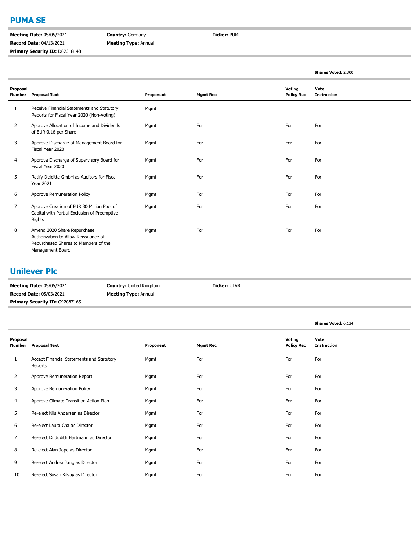#### **PUMA SE**

**Meeting Date:** 05/05/2021 **Record Date:** 04/13/2021 Primary Security ID: D62318148 **Country:** Germany **Meeting Type:** Annual **Ticker:** PUM

|                           |                                                                                                                                 |           |                 |                             | <b>Shares Voted: 2,300</b> |
|---------------------------|---------------------------------------------------------------------------------------------------------------------------------|-----------|-----------------|-----------------------------|----------------------------|
| Proposal<br><b>Number</b> | <b>Proposal Text</b>                                                                                                            | Proponent | <b>Mgmt Rec</b> | Voting<br><b>Policy Rec</b> | Vote<br><b>Instruction</b> |
| 1                         | Receive Financial Statements and Statutory<br>Reports for Fiscal Year 2020 (Non-Voting)                                         | Mgmt      |                 |                             |                            |
| 2                         | Approve Allocation of Income and Dividends<br>of EUR 0.16 per Share                                                             | Mgmt      | For             | For                         | For                        |
| 3                         | Approve Discharge of Management Board for<br>Fiscal Year 2020                                                                   | Mgmt      | For             | For                         | For                        |
| 4                         | Approve Discharge of Supervisory Board for<br>Fiscal Year 2020                                                                  | Mgmt      | For             | For                         | For                        |
| 5                         | Ratify Deloitte GmbH as Auditors for Fiscal<br><b>Year 2021</b>                                                                 | Mgmt      | For             | For                         | For                        |
| 6                         | Approve Remuneration Policy                                                                                                     | Mgmt      | For             | For                         | For                        |
| 7                         | Approve Creation of EUR 30 Million Pool of<br>Capital with Partial Exclusion of Preemptive<br>Rights                            | Mgmt      | For             | For                         | For                        |
| 8                         | Amend 2020 Share Repurchase<br>Authorization to Allow Reissuance of<br>Repurchased Shares to Members of the<br>Management Board | Mgmt      | For             | For                         | For                        |

### **Unilever Plc**

| <b>Meeting Date: 05/05/2021</b>       | <b>Country:</b> United Kingdom | <b>Ticker: ULVR</b> |  |
|---------------------------------------|--------------------------------|---------------------|--|
| <b>Record Date: 05/03/2021</b>        | <b>Meeting Type: Annual</b>    |                     |  |
| <b>Primary Security ID: G92087165</b> |                                |                     |  |

|                           |                                                      |           |                 |                             | <b>Shares Voted: 6,134</b> |
|---------------------------|------------------------------------------------------|-----------|-----------------|-----------------------------|----------------------------|
| Proposal<br><b>Number</b> | <b>Proposal Text</b>                                 | Proponent | <b>Mgmt Rec</b> | Voting<br><b>Policy Rec</b> | Vote<br><b>Instruction</b> |
| 1                         | Accept Financial Statements and Statutory<br>Reports | Mgmt      | For             | For                         | For                        |
| $\overline{2}$            | Approve Remuneration Report                          | Mgmt      | For             | For                         | For                        |
| 3                         | Approve Remuneration Policy                          | Mgmt      | For             | For                         | For                        |
| 4                         | Approve Climate Transition Action Plan               | Mgmt      | For             | For                         | For                        |
| 5                         | Re-elect Nils Andersen as Director                   | Mgmt      | For             | For                         | For                        |
| 6                         | Re-elect Laura Cha as Director                       | Mgmt      | For             | For                         | For                        |
| 7                         | Re-elect Dr Judith Hartmann as Director              | Mgmt      | For             | For                         | For                        |
| 8                         | Re-elect Alan Jope as Director                       | Mgmt      | For             | For                         | For                        |
| 9                         | Re-elect Andrea Jung as Director                     | Mgmt      | For             | For                         | For                        |
| 10                        | Re-elect Susan Kilsby as Director                    | Mgmt      | For             | For                         | For                        |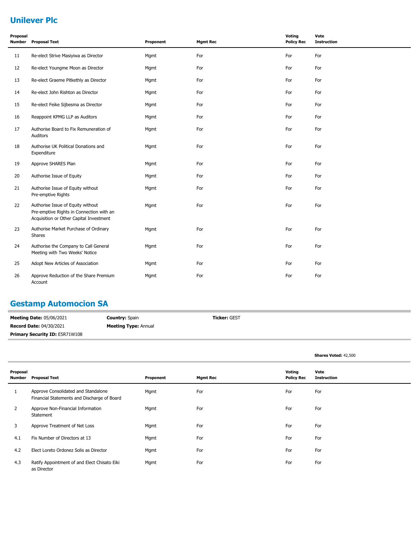### **Unilever Plc**

| Proposal<br><b>Number</b> | <b>Proposal Text</b>                                                                                                     | Proponent | <b>Mgmt Rec</b> | Voting<br><b>Policy Rec</b> | Vote<br><b>Instruction</b> |
|---------------------------|--------------------------------------------------------------------------------------------------------------------------|-----------|-----------------|-----------------------------|----------------------------|
| 11                        | Re-elect Strive Masiyiwa as Director                                                                                     | Mgmt      | For             | For                         | For                        |
| 12                        | Re-elect Youngme Moon as Director                                                                                        | Mgmt      | For             | For                         | For                        |
| 13                        | Re-elect Graeme Pitkethly as Director                                                                                    | Mgmt      | For             | For                         | For                        |
| 14                        | Re-elect John Rishton as Director                                                                                        | Mgmt      | For             | For                         | For                        |
| 15                        | Re-elect Feike Sijbesma as Director                                                                                      | Mgmt      | For             | For                         | For                        |
| 16                        | Reappoint KPMG LLP as Auditors                                                                                           | Mgmt      | For             | For                         | For                        |
| 17                        | Authorise Board to Fix Remuneration of<br>Auditors                                                                       | Mgmt      | For             | For                         | For                        |
| 18                        | Authorise UK Political Donations and<br>Expenditure                                                                      | Mgmt      | For             | For                         | For                        |
| 19                        | Approve SHARES Plan                                                                                                      | Mgmt      | For             | For                         | For                        |
| 20                        | Authorise Issue of Equity                                                                                                | Mgmt      | For             | For                         | For                        |
| 21                        | Authorise Issue of Equity without<br>Pre-emptive Rights                                                                  | Mgmt      | For             | For                         | For                        |
| 22                        | Authorise Issue of Equity without<br>Pre-emptive Rights in Connection with an<br>Acquisition or Other Capital Investment | Mgmt      | For             | For                         | For                        |
| 23                        | Authorise Market Purchase of Ordinary<br>Shares                                                                          | Mgmt      | For             | For                         | For                        |
| 24                        | Authorise the Company to Call General<br>Meeting with Two Weeks' Notice                                                  | Mgmt      | For             | For                         | For                        |
| 25                        | Adopt New Articles of Association                                                                                        | Mgmt      | For             | For                         | For                        |
| 26                        | Approve Reduction of the Share Premium<br>Account                                                                        | Mgmt      | For             | For                         | For                        |

### **Gestamp Automocion SA**

| <b>Meeting Date: 05/06/2021</b>       | <b>Country:</b> Spain       | <b>Ticker: GEST</b> |  |  |
|---------------------------------------|-----------------------------|---------------------|--|--|
| <b>Record Date: 04/30/2021</b>        | <b>Meeting Type: Annual</b> |                     |  |  |
| <b>Primary Security ID: E5R71W108</b> |                             |                     |  |  |

#### **Shares Voted:** 42,500

| Proposal<br>Number | <b>Proposal Text</b>                                                               | Proponent | <b>Mgmt Rec</b> | Voting<br><b>Policy Rec</b> | Vote<br><b>Instruction</b> |
|--------------------|------------------------------------------------------------------------------------|-----------|-----------------|-----------------------------|----------------------------|
| 1                  | Approve Consolidated and Standalone<br>Financial Statements and Discharge of Board | Mgmt      | For             | For                         | For                        |
| $\overline{2}$     | Approve Non-Financial Information<br>Statement                                     | Mgmt      | For             | For                         | For                        |
| 3                  | Approve Treatment of Net Loss                                                      | Mgmt      | For             | For                         | For                        |
| 4.1                | Fix Number of Directors at 13                                                      | Mgmt      | For             | For                         | For                        |
| 4.2                | Elect Loreto Ordonez Solis as Director                                             | Mgmt      | For             | For                         | For                        |
| 4.3                | Ratify Appointment of and Elect Chisato Eiki<br>as Director                        | Mgmt      | For             | For                         | For                        |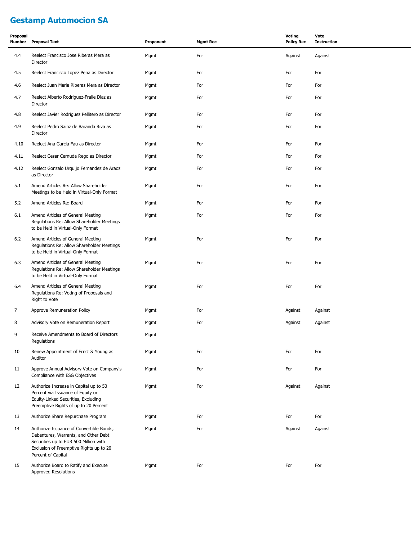### **Gestamp Automocion SA**

| Proposal<br>Number | <b>Proposal Text</b>                                                                                                                                                                       | Proponent | <b>Mgmt Rec</b> | <b>Voting</b><br><b>Policy Rec</b> | Vote<br><b>Instruction</b> |
|--------------------|--------------------------------------------------------------------------------------------------------------------------------------------------------------------------------------------|-----------|-----------------|------------------------------------|----------------------------|
| 4.4                | Reelect Francisco Jose Riberas Mera as<br>Director                                                                                                                                         | Mgmt      | For             | Against                            | Against                    |
| 4.5                | Reelect Francisco Lopez Pena as Director                                                                                                                                                   | Mgmt      | For             | For                                | For                        |
| 4.6                | Reelect Juan Maria Riberas Mera as Director                                                                                                                                                | Mgmt      | For             | For                                | For                        |
| 4.7                | Reelect Alberto Rodriguez-Fraile Diaz as<br>Director                                                                                                                                       | Mgmt      | For             | For                                | For                        |
| 4.8                | Reelect Javier Rodriguez Pellitero as Director                                                                                                                                             | Mgmt      | For             | For                                | For                        |
| 4.9                | Reelect Pedro Sainz de Baranda Riva as<br>Director                                                                                                                                         | Mgmt      | For             | For                                | For                        |
| 4.10               | Reelect Ana Garcia Fau as Director                                                                                                                                                         | Mgmt      | For             | For                                | For                        |
| 4.11               | Reelect Cesar Cernuda Rego as Director                                                                                                                                                     | Mgmt      | For             | For                                | For                        |
| 4.12               | Reelect Gonzalo Urquijo Fernandez de Araoz<br>as Director                                                                                                                                  | Mgmt      | For             | For                                | For                        |
| 5.1                | Amend Articles Re: Allow Shareholder<br>Meetings to be Held in Virtual-Only Format                                                                                                         | Mgmt      | For             | For                                | For                        |
| 5.2                | Amend Articles Re: Board                                                                                                                                                                   | Mgmt      | For             | For                                | For                        |
| 6.1                | Amend Articles of General Meeting<br>Regulations Re: Allow Shareholder Meetings<br>to be Held in Virtual-Only Format                                                                       | Mgmt      | For             | For                                | For                        |
| 6.2                | Amend Articles of General Meeting<br>Regulations Re: Allow Shareholder Meetings<br>to be Held in Virtual-Only Format                                                                       | Mgmt      | For             | For                                | For                        |
| 6.3                | Amend Articles of General Meeting<br>Regulations Re: Allow Shareholder Meetings<br>to be Held in Virtual-Only Format                                                                       | Mgmt      | For             | For                                | For                        |
| 6.4                | Amend Articles of General Meeting<br>Regulations Re: Voting of Proposals and<br>Right to Vote                                                                                              | Mgmt      | For             | For                                | For                        |
| $\overline{7}$     | Approve Remuneration Policy                                                                                                                                                                | Mgmt      | For             | Against                            | Against                    |
| 8                  | Advisory Vote on Remuneration Report                                                                                                                                                       | Mgmt      | For             | Against                            | Against                    |
| 9                  | Receive Amendments to Board of Directors<br>Regulations                                                                                                                                    | Mgmt      |                 |                                    |                            |
| 10                 | Renew Appointment of Ernst & Young as<br>Auditor                                                                                                                                           | Mgmt      | For             | For                                | For                        |
| 11                 | Approve Annual Advisory Vote on Company's<br>Compliance with ESG Objectives                                                                                                                | Mgmt      | For             | For                                | For                        |
| 12                 | Authorize Increase in Capital up to 50<br>Percent via Issuance of Equity or<br>Equity-Linked Securities, Excluding<br>Preemptive Rights of up to 20 Percent                                | Mgmt      | For             | Against                            | Against                    |
| 13                 | Authorize Share Repurchase Program                                                                                                                                                         | Mgmt      | For             | For                                | For                        |
| 14                 | Authorize Issuance of Convertible Bonds,<br>Debentures, Warrants, and Other Debt<br>Securities up to EUR 500 Million with<br>Exclusion of Preemptive Rights up to 20<br>Percent of Capital | Mgmt      | For             | Against                            | Against                    |
| 15                 | Authorize Board to Ratify and Execute<br>Approved Resolutions                                                                                                                              | Mgmt      | For             | For                                | For                        |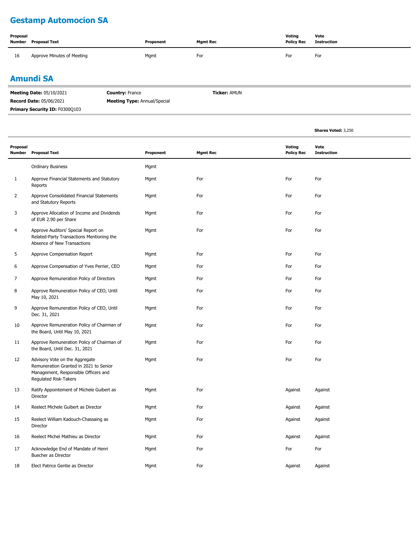### **Gestamp Automocion SA**

| Proposal | <b>Number</b> Proposal Text | Proponent | <b>Mgmt Rec</b> | Voting<br><b>Policy Rec</b> | Vote<br>Instruction |
|----------|-----------------------------|-----------|-----------------|-----------------------------|---------------------|
| 16       | Approve Minutes of Meeting  | Mgmt      | For             | For                         | For                 |

### **Amundi SA**

| <b>Meeting Date: 05/10/2021</b> | <b>Country: France</b>              | <b>Ticker: AMUN</b> |
|---------------------------------|-------------------------------------|---------------------|
| <b>Record Date: 05/06/2021</b>  | <b>Meeting Type:</b> Annual/Special |                     |
| Primary Security ID: F0300Q103  |                                     |                     |

|                           |                                                                                                                                                  |           |                 |                             | Shares Voted: 3,250        |
|---------------------------|--------------------------------------------------------------------------------------------------------------------------------------------------|-----------|-----------------|-----------------------------|----------------------------|
| Proposal<br><b>Number</b> | <b>Proposal Text</b>                                                                                                                             | Proponent | <b>Mgmt Rec</b> | Voting<br><b>Policy Rec</b> | Vote<br><b>Instruction</b> |
|                           | <b>Ordinary Business</b>                                                                                                                         | Mgmt      |                 |                             |                            |
| $\mathbf{1}$              | Approve Financial Statements and Statutory<br>Reports                                                                                            | Mgmt      | For             | For                         | For                        |
| $\overline{2}$            | Approve Consolidated Financial Statements<br>and Statutory Reports                                                                               | Mgmt      | For             | For                         | For                        |
| 3                         | Approve Allocation of Income and Dividends<br>of EUR 2.90 per Share                                                                              | Mgmt      | For             | For                         | For                        |
| 4                         | Approve Auditors' Special Report on<br>Related-Party Transactions Mentioning the<br>Absence of New Transactions                                  | Mgmt      | For             | For                         | For                        |
| 5                         | Approve Compensation Report                                                                                                                      | Mgmt      | For             | For                         | For                        |
| 6                         | Approve Compensation of Yves Perrier, CEO                                                                                                        | Mgmt      | For             | For                         | For                        |
| 7                         | Approve Remuneration Policy of Directors                                                                                                         | Mgmt      | For             | For                         | For                        |
| 8                         | Approve Remuneration Policy of CEO, Until<br>May 10, 2021                                                                                        | Mgmt      | For             | For                         | For                        |
| 9                         | Approve Remuneration Policy of CEO, Until<br>Dec. 31, 2021                                                                                       | Mgmt      | For             | For                         | For                        |
| 10                        | Approve Remuneration Policy of Chairman of<br>the Board, Until May 10, 2021                                                                      | Mgmt      | For             | For                         | For                        |
| 11                        | Approve Remuneration Policy of Chairman of<br>the Board, Until Dec. 31, 2021                                                                     | Mgmt      | For             | For                         | For                        |
| 12                        | Advisory Vote on the Aggregate<br>Remuneration Granted in 2021 to Senior<br>Management, Responsible Officers and<br><b>Regulated Risk-Takers</b> | Mgmt      | For             | For                         | For                        |
| 13                        | Ratify Appointement of Michele Guibert as<br>Director                                                                                            | Mgmt      | For             | Against                     | Against                    |
| 14                        | Reelect Michele Guibert as Director                                                                                                              | Mgmt      | For             | Against                     | Against                    |
| 15                        | Reelect William Kadouch-Chassaing as<br>Director                                                                                                 | Mgmt      | For             | Against                     | Against                    |
| 16                        | Reelect Michel Mathieu as Director                                                                                                               | Mgmt      | For             | Against                     | Against                    |
| 17                        | Acknowledge End of Mandate of Henri<br>Buecher as Director                                                                                       | Mgmt      | For             | For                         | For                        |
| 18                        | Elect Patrice Gentie as Director                                                                                                                 | Mgmt      | For             | Against                     | Against                    |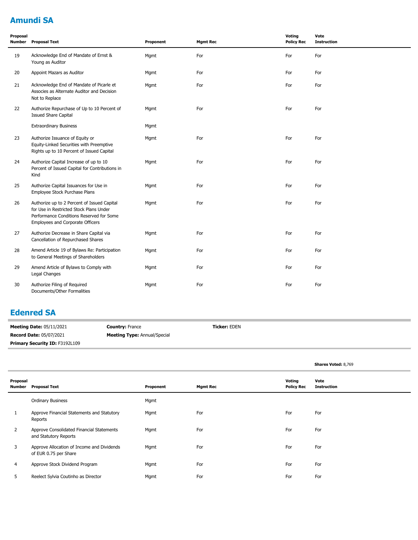### **Amundi SA**

| Proposal<br>Number | <b>Proposal Text</b>                                                                                                                                                   | Proponent | <b>Mgmt Rec</b> | Voting<br><b>Policy Rec</b> | Vote<br><b>Instruction</b> |
|--------------------|------------------------------------------------------------------------------------------------------------------------------------------------------------------------|-----------|-----------------|-----------------------------|----------------------------|
| 19                 | Acknowledge End of Mandate of Ernst &<br>Young as Auditor                                                                                                              | Mqmt      | For             | For                         | For                        |
| 20                 | Appoint Mazars as Auditor                                                                                                                                              | Mgmt      | For             | For                         | For                        |
| 21                 | Acknowledge End of Mandate of Picarle et<br>Associes as Alternate Auditor and Decision<br>Not to Replace                                                               | Mgmt      | For             | For                         | For                        |
| 22                 | Authorize Repurchase of Up to 10 Percent of<br><b>Issued Share Capital</b>                                                                                             | Mgmt      | For             | For                         | For                        |
|                    | <b>Extraordinary Business</b>                                                                                                                                          | Mgmt      |                 |                             |                            |
| 23                 | Authorize Issuance of Equity or<br>Equity-Linked Securities with Preemptive<br>Rights up to 10 Percent of Issued Capital                                               | Mgmt      | For             | For                         | For                        |
| 24                 | Authorize Capital Increase of up to 10<br>Percent of Issued Capital for Contributions in<br>Kind                                                                       | Mgmt      | For             | For                         | For                        |
| 25                 | Authorize Capital Issuances for Use in<br>Employee Stock Purchase Plans                                                                                                | Mgmt      | For             | For                         | For                        |
| 26                 | Authorize up to 2 Percent of Issued Capital<br>for Use in Restricted Stock Plans Under<br>Performance Conditions Reserved for Some<br>Employees and Corporate Officers | Mgmt      | For             | For                         | For                        |
| 27                 | Authorize Decrease in Share Capital via<br>Cancellation of Repurchased Shares                                                                                          | Mqmt      | For             | For                         | For                        |
| 28                 | Amend Article 19 of Bylaws Re: Participation<br>to General Meetings of Shareholders                                                                                    | Mgmt      | For             | For                         | For                        |
| 29                 | Amend Article of Bylaws to Comply with<br>Legal Changes                                                                                                                | Mgmt      | For             | For                         | For                        |
| 30                 | Authorize Filing of Required<br>Documents/Other Formalities                                                                                                            | Mgmt      | For             | For                         | For                        |

### **Edenred SA**

| --------                        |                                     |                     |
|---------------------------------|-------------------------------------|---------------------|
| <b>Meeting Date: 05/11/2021</b> | <b>Country: France</b>              | <b>Ticker: EDEN</b> |
| Record Date: 05/07/2021         | <b>Meeting Type: Annual/Special</b> |                     |
| Primary Security ID: F3192L109  |                                     |                     |

|                    |                                                                     |           |                 |                                    | Shares Voted: 8,769        |
|--------------------|---------------------------------------------------------------------|-----------|-----------------|------------------------------------|----------------------------|
| Proposal<br>Number | <b>Proposal Text</b>                                                | Proponent | <b>Mgmt Rec</b> | <b>Voting</b><br><b>Policy Rec</b> | Vote<br><b>Instruction</b> |
|                    | <b>Ordinary Business</b>                                            | Mgmt      |                 |                                    |                            |
| T                  | Approve Financial Statements and Statutory<br>Reports               | Mgmt      | For             | For                                | For                        |
| 2                  | Approve Consolidated Financial Statements<br>and Statutory Reports  | Mgmt      | For             | For                                | For                        |
| 3                  | Approve Allocation of Income and Dividends<br>of EUR 0.75 per Share | Mgmt      | For             | For                                | For                        |
| 4                  | Approve Stock Dividend Program                                      | Mgmt      | For             | For                                | For                        |
| 5                  | Reelect Sylvia Coutinho as Director                                 | Mgmt      | For             | For                                | For                        |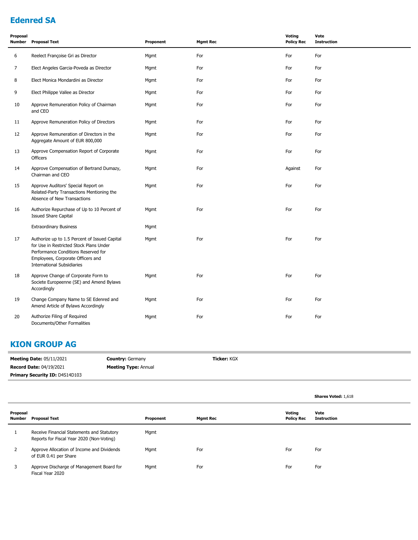### **Edenred SA**

| Proposal<br>Number | <b>Proposal Text</b>                                                                                                                                                                                      | Proponent | <b>Mgmt Rec</b> | Voting<br><b>Policy Rec</b> | Vote<br><b>Instruction</b> |
|--------------------|-----------------------------------------------------------------------------------------------------------------------------------------------------------------------------------------------------------|-----------|-----------------|-----------------------------|----------------------------|
| 6                  | Reelect Françoise Gri as Director                                                                                                                                                                         | Mgmt      | For             | For                         | For                        |
| 7                  | Elect Angeles Garcia-Poveda as Director                                                                                                                                                                   | Mgmt      | For             | For                         | For                        |
| 8                  | Elect Monica Mondardini as Director                                                                                                                                                                       | Mgmt      | For             | For                         | For                        |
| 9                  | Elect Philippe Vallee as Director                                                                                                                                                                         | Mgmt      | For             | For                         | For                        |
| 10                 | Approve Remuneration Policy of Chairman<br>and CEO                                                                                                                                                        | Mgmt      | For             | For                         | For                        |
| 11                 | Approve Remuneration Policy of Directors                                                                                                                                                                  | Mgmt      | For             | For                         | For                        |
| 12                 | Approve Remuneration of Directors in the<br>Aggregate Amount of EUR 800,000                                                                                                                               | Mgmt      | For             | For                         | For                        |
| 13                 | Approve Compensation Report of Corporate<br><b>Officers</b>                                                                                                                                               | Mgmt      | For             | For                         | For                        |
| 14                 | Approve Compensation of Bertrand Dumazy,<br>Chairman and CEO                                                                                                                                              | Mgmt      | For             | Against                     | For                        |
| 15                 | Approve Auditors' Special Report on<br>Related-Party Transactions Mentioning the<br>Absence of New Transactions                                                                                           | Mgmt      | For             | For                         | For                        |
| 16                 | Authorize Repurchase of Up to 10 Percent of<br><b>Issued Share Capital</b>                                                                                                                                | Mgmt      | For             | For                         | For                        |
|                    | <b>Extraordinary Business</b>                                                                                                                                                                             | Mgmt      |                 |                             |                            |
| 17                 | Authorize up to 1.5 Percent of Issued Capital<br>for Use in Restricted Stock Plans Under<br>Performance Conditions Reserved for<br>Employees, Corporate Officers and<br><b>International Subsidiaries</b> | Mgmt      | For             | For                         | For                        |
| 18                 | Approve Change of Corporate Form to<br>Societe Europeenne (SE) and Amend Bylaws<br>Accordingly                                                                                                            | Mgmt      | For             | For                         | For                        |
| 19                 | Change Company Name to SE Edenred and<br>Amend Article of Bylaws Accordingly                                                                                                                              | Mgmt      | For             | For                         | For                        |
| 20                 | Authorize Filing of Required<br>Documents/Other Formalities                                                                                                                                               | Mgmt      | For             | For                         | For                        |

### **KION GROUP AG**

| <b>Meeting Date: 05/11/2021</b>       | <b>Country: Germany</b>     | <b>Ticker: KGX</b> |
|---------------------------------------|-----------------------------|--------------------|
| <b>Record Date: 04/19/2021</b>        | <b>Meeting Type: Annual</b> |                    |
| <b>Primary Security ID: D4S14D103</b> |                             |                    |

|                    |                                                                                         |           |                 |                             | <b>Shares Voted: 1,618</b> |
|--------------------|-----------------------------------------------------------------------------------------|-----------|-----------------|-----------------------------|----------------------------|
| Proposal<br>Number | <b>Proposal Text</b>                                                                    | Proponent | <b>Mgmt Rec</b> | Voting<br><b>Policy Rec</b> | Vote<br><b>Instruction</b> |
|                    | Receive Financial Statements and Statutory<br>Reports for Fiscal Year 2020 (Non-Voting) | Mgmt      |                 |                             |                            |
| 2                  | Approve Allocation of Income and Dividends<br>of EUR 0.41 per Share                     | Mgmt      | For             | For                         | For                        |
| 3                  | Approve Discharge of Management Board for<br>Fiscal Year 2020                           | Mgmt      | For             | For                         | For                        |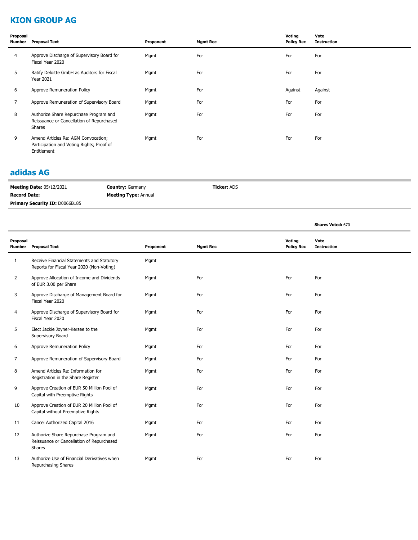### **KION GROUP AG**

| Proposal<br>Number | <b>Proposal Text</b>                                                                            | Proponent | <b>Mgmt Rec</b> | Voting<br><b>Policy Rec</b> | Vote<br><b>Instruction</b> |
|--------------------|-------------------------------------------------------------------------------------------------|-----------|-----------------|-----------------------------|----------------------------|
| $\overline{4}$     | Approve Discharge of Supervisory Board for<br>Fiscal Year 2020                                  | Mgmt      | For             | For                         | For                        |
| 5                  | Ratify Deloitte GmbH as Auditors for Fiscal<br><b>Year 2021</b>                                 | Mgmt      | For             | For                         | For                        |
| 6                  | Approve Remuneration Policy                                                                     | Mgmt      | For             | Against                     | Against                    |
| 7                  | Approve Remuneration of Supervisory Board                                                       | Mgmt      | For             | For                         | For                        |
| 8                  | Authorize Share Repurchase Program and<br>Reissuance or Cancellation of Repurchased<br>Shares   | Mgmt      | For             | For                         | For                        |
| 9                  | Amend Articles Re: AGM Convocation;<br>Participation and Voting Rights; Proof of<br>Entitlement | Mgmt      | For             | For                         | For                        |

#### **adidas AG**

| <b>Meeting Date: 05/12/2021</b>       | <b>Country: Germany</b>     | <b>Ticker: ADS</b> |
|---------------------------------------|-----------------------------|--------------------|
| <b>Record Date:</b>                   | <b>Meeting Type: Annual</b> |                    |
| <b>Primary Security ID: D0066B185</b> |                             |                    |

**Shares Voted:** 670

| Proposal<br>Number | <b>Proposal Text</b>                                                                          | Proponent | <b>Mgmt Rec</b> | Voting<br><b>Policy Rec</b> | Vote<br><b>Instruction</b> |  |
|--------------------|-----------------------------------------------------------------------------------------------|-----------|-----------------|-----------------------------|----------------------------|--|
| 1                  | Receive Financial Statements and Statutory<br>Reports for Fiscal Year 2020 (Non-Voting)       | Mgmt      |                 |                             |                            |  |
| $\overline{2}$     | Approve Allocation of Income and Dividends<br>of EUR 3.00 per Share                           | Mgmt      | For             | For                         | For                        |  |
| 3                  | Approve Discharge of Management Board for<br>Fiscal Year 2020                                 | Mgmt      | For             | For                         | For                        |  |
| 4                  | Approve Discharge of Supervisory Board for<br>Fiscal Year 2020                                | Mgmt      | For             | For                         | For                        |  |
| 5                  | Elect Jackie Joyner-Kersee to the<br>Supervisory Board                                        | Mgmt      | For             | For                         | For                        |  |
| 6                  | Approve Remuneration Policy                                                                   | Mgmt      | For             | For                         | For                        |  |
| 7                  | Approve Remuneration of Supervisory Board                                                     | Mgmt      | For             | For                         | For                        |  |
| 8                  | Amend Articles Re: Information for<br>Registration in the Share Register                      | Mgmt      | For             | For                         | For                        |  |
| 9                  | Approve Creation of EUR 50 Million Pool of<br>Capital with Preemptive Rights                  | Mgmt      | For             | For                         | For                        |  |
| 10                 | Approve Creation of EUR 20 Million Pool of<br>Capital without Preemptive Rights               | Mgmt      | For             | For                         | For                        |  |
| 11                 | Cancel Authorized Capital 2016                                                                | Mgmt      | For             | For                         | For                        |  |
| 12                 | Authorize Share Repurchase Program and<br>Reissuance or Cancellation of Repurchased<br>Shares | Mgmt      | For             | For                         | For                        |  |
| 13                 | Authorize Use of Financial Derivatives when<br><b>Repurchasing Shares</b>                     | Mgmt      | For             | For                         | For                        |  |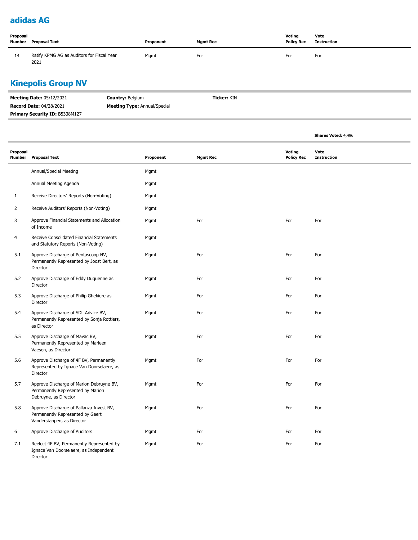### **adidas AG**

| Proposal<br>Number | Proposal Text                                      | Proponent | <b>Mgmt Rec</b> | Voting<br><b>Policy Rec</b> | Vote<br>Instruction |
|--------------------|----------------------------------------------------|-----------|-----------------|-----------------------------|---------------------|
| 14                 | Ratify KPMG AG as Auditors for Fiscal Year<br>2021 | Mgmt      | For             | For                         | For                 |

### **Kinepolis Group NV**

| <b>Meeting Date: 05/12/2021</b>       | <b>Country: Belgium</b>             | <b>Ticker:</b> KIN |
|---------------------------------------|-------------------------------------|--------------------|
| <b>Record Date: 04/28/2021</b>        | <b>Meeting Type:</b> Annual/Special |                    |
| <b>Primary Security ID: B5338M127</b> |                                     |                    |

|                |                                                                                                            |           |                 |                             | <b>Shares Voted: 4,496</b> |
|----------------|------------------------------------------------------------------------------------------------------------|-----------|-----------------|-----------------------------|----------------------------|
| Proposal       | Number Proposal Text                                                                                       | Proponent | <b>Mgmt Rec</b> | Voting<br><b>Policy Rec</b> | Vote<br><b>Instruction</b> |
|                | Annual/Special Meeting                                                                                     | Mgmt      |                 |                             |                            |
|                | Annual Meeting Agenda                                                                                      | Mgmt      |                 |                             |                            |
| $\mathbf{1}$   | Receive Directors' Reports (Non-Voting)                                                                    | Mgmt      |                 |                             |                            |
| $\overline{2}$ | Receive Auditors' Reports (Non-Voting)                                                                     | Mgmt      |                 |                             |                            |
| 3              | Approve Financial Statements and Allocation<br>of Income                                                   | Mgmt      | For             | For                         | For                        |
| 4              | Receive Consolidated Financial Statements<br>and Statutory Reports (Non-Voting)                            | Mgmt      |                 |                             |                            |
| 5.1            | Approve Discharge of Pentascoop NV,<br>Permanently Represented by Joost Bert, as<br>Director               | Mgmt      | For             | For                         | For                        |
| 5.2            | Approve Discharge of Eddy Duquenne as<br>Director                                                          | Mgmt      | For             | For                         | For                        |
| 5.3            | Approve Discharge of Philip Ghekiere as<br>Director                                                        | Mgmt      | For             | For                         | For                        |
| 5.4            | Approve Discharge of SDL Advice BV,<br>Permanently Represented by Sonja Rottiers,<br>as Director           | Mgmt      | For             | For                         | For                        |
| 5.5            | Approve Discharge of Mavac BV,<br>Permanently Represented by Marleen<br>Vaesen, as Director                | Mgmt      | For             | For                         | For                        |
| 5.6            | Approve Discharge of 4F BV, Permanently<br>Represented by Ignace Van Doorselaere, as<br>Director           | Mgmt      | For             | For                         | For                        |
| 5.7            | Approve Discharge of Marion Debruyne BV,<br>Permanently Represented by Marion<br>Debruyne, as Director     | Mgmt      | For             | For                         | For                        |
| 5.8            | Approve Discharge of Pallanza Invest BV,<br>Permanently Represented by Geert<br>Vanderstappen, as Director | Mgmt      | For             | For                         | For                        |
| 6              | Approve Discharge of Auditors                                                                              | Mgmt      | For             | For                         | For                        |
| 7.1            | Reelect 4F BV, Permanently Represented by<br>Ignace Van Doorselaere, as Independent<br>Director            | Mgmt      | For             | For                         | For                        |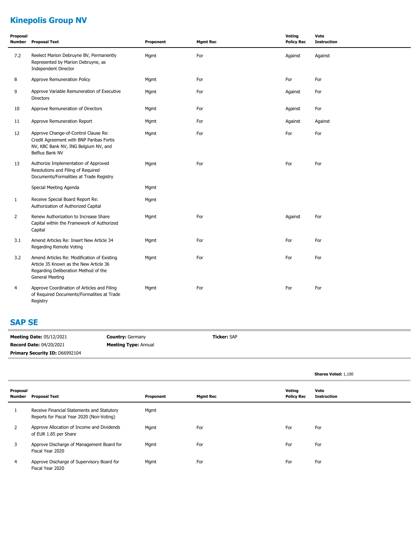# **Kinepolis Group NV**

| Proposal<br>Number | <b>Proposal Text</b>                                                                                                                             | Proponent | <b>Mgmt Rec</b> | Voting<br><b>Policy Rec</b> | Vote<br><b>Instruction</b> |
|--------------------|--------------------------------------------------------------------------------------------------------------------------------------------------|-----------|-----------------|-----------------------------|----------------------------|
| 7.2                | Reelect Marion Debruyne BV, Permanently<br>Represented by Marion Debruyne, as<br><b>Independent Director</b>                                     | Mgmt      | For             | Against                     | Against                    |
| 8                  | Approve Remuneration Policy                                                                                                                      | Mgmt      | For             | For                         | For                        |
| 9                  | Approve Variable Remuneration of Executive<br><b>Directors</b>                                                                                   | Mgmt      | For             | Against                     | For                        |
| 10                 | Approve Remuneration of Directors                                                                                                                | Mgmt      | For             | Against                     | For                        |
| 11                 | Approve Remuneration Report                                                                                                                      | Mgmt      | For             | Against                     | Against                    |
| 12                 | Approve Change-of-Control Clause Re:<br>Credit Agreement with BNP Paribas Fortis<br>NV, KBC Bank NV, ING Belgium NV, and<br>Belfius Bank NV      | Mgmt      | For             | For                         | For                        |
| 13                 | Authorize Implementation of Approved<br>Resolutions and Filing of Required<br>Documents/Formalities at Trade Registry                            | Mgmt      | For             | For                         | For                        |
|                    | Special Meeting Agenda                                                                                                                           | Mgmt      |                 |                             |                            |
| $\mathbf{1}$       | Receive Special Board Report Re:<br>Authorization of Authorized Capital                                                                          | Mgmt      |                 |                             |                            |
| 2                  | Renew Authorization to Increase Share<br>Capital within the Framework of Authorized<br>Capital                                                   | Mgmt      | For             | Against                     | For                        |
| 3.1                | Amend Articles Re: Insert New Article 34<br>Regarding Remote Voting                                                                              | Mgmt      | For             | For                         | For                        |
| 3.2                | Amend Articles Re: Modification of Existing<br>Article 35 Known as the New Article 36<br>Regarding Deliberation Method of the<br>General Meeting | Mgmt      | For             | For                         | For                        |
| 4                  | Approve Coordination of Articles and Filing<br>of Required Documents/Formalities at Trade<br>Registry                                            | Mgmt      | For             | For                         | For                        |

#### **SAP SE**

| <b>Meeting Date: 05/12/2021</b> | <b>Country: Germany</b>     | <b>Ticker: SAP</b> |
|---------------------------------|-----------------------------|--------------------|
| <b>Record Date: 04/20/2021</b>  | <b>Meeting Type: Annual</b> |                    |
| Primary Security ID: D66992104  |                             |                    |

|                    |                                                                                         |           |                 |                             | <b>Shares Voted: 1,100</b> |
|--------------------|-----------------------------------------------------------------------------------------|-----------|-----------------|-----------------------------|----------------------------|
| Proposal<br>Number | <b>Proposal Text</b>                                                                    | Proponent | <b>Mgmt Rec</b> | Voting<br><b>Policy Rec</b> | Vote<br><b>Instruction</b> |
|                    | Receive Financial Statements and Statutory<br>Reports for Fiscal Year 2020 (Non-Voting) | Mgmt      |                 |                             |                            |
|                    | Approve Allocation of Income and Dividends<br>of EUR 1.85 per Share                     | Mgmt      | For             | For                         | For                        |
| 3                  | Approve Discharge of Management Board for<br>Fiscal Year 2020                           | Mgmt      | For             | For                         | For                        |
| 4                  | Approve Discharge of Supervisory Board for<br>Fiscal Year 2020                          | Mgmt      | For             | For                         | For                        |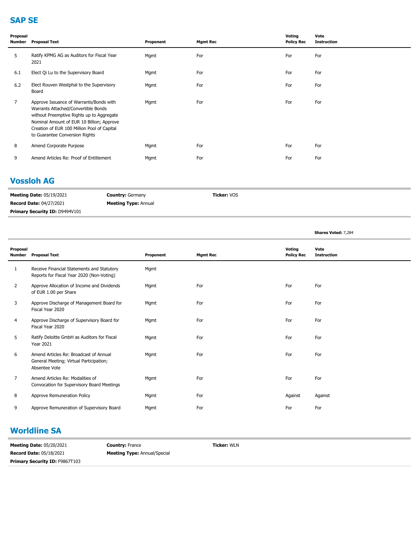### **SAP SE**

| Proposal<br>Number | <b>Proposal Text</b>                                                                                                                                                                                                                                      | Proponent | <b>Mgmt Rec</b> | Voting<br><b>Policy Rec</b> | Vote<br><b>Instruction</b> |
|--------------------|-----------------------------------------------------------------------------------------------------------------------------------------------------------------------------------------------------------------------------------------------------------|-----------|-----------------|-----------------------------|----------------------------|
| 5                  | Ratify KPMG AG as Auditors for Fiscal Year<br>2021                                                                                                                                                                                                        | Mgmt      | For             | For                         | For                        |
| 6.1                | Elect Qi Lu to the Supervisory Board                                                                                                                                                                                                                      | Mgmt      | For             | For                         | For                        |
| 6.2                | Elect Rouven Westphal to the Supervisory<br>Board                                                                                                                                                                                                         | Mgmt      | For             | For                         | For                        |
| $\overline{7}$     | Approve Issuance of Warrants/Bonds with<br>Warrants Attached/Convertible Bonds<br>without Preemptive Rights up to Aggregate<br>Nominal Amount of EUR 10 Billion; Approve<br>Creation of EUR 100 Million Pool of Capital<br>to Guarantee Conversion Rights | Mgmt      | For             | For                         | For                        |
| 8                  | Amend Corporate Purpose                                                                                                                                                                                                                                   | Mgmt      | For             | For                         | For                        |
| 9                  | Amend Articles Re: Proof of Entitlement                                                                                                                                                                                                                   | Mgmt      | For             | For                         | For                        |

### **Vossloh AG**

| <b>Meeting Date: 05/19/2021</b>       | <b>Country: Germany</b>     | <b>Ticker: VOS</b> |
|---------------------------------------|-----------------------------|--------------------|
| <b>Record Date: 04/27/2021</b>        | <b>Meeting Type: Annual</b> |                    |
| <b>Primary Security ID: D9494V101</b> |                             |                    |

|                           |                                                                                                    |           |                 |                             | Shares Voted: 7,284        |
|---------------------------|----------------------------------------------------------------------------------------------------|-----------|-----------------|-----------------------------|----------------------------|
| Proposal<br><b>Number</b> | <b>Proposal Text</b>                                                                               | Proponent | <b>Mgmt Rec</b> | Voting<br><b>Policy Rec</b> | Vote<br><b>Instruction</b> |
| 1                         | Receive Financial Statements and Statutory<br>Reports for Fiscal Year 2020 (Non-Voting)            | Mgmt      |                 |                             |                            |
| $\overline{2}$            | Approve Allocation of Income and Dividends<br>of EUR 1.00 per Share                                | Mgmt      | For             | For                         | For                        |
| 3                         | Approve Discharge of Management Board for<br>Fiscal Year 2020                                      | Mgmt      | For             | For                         | For                        |
| 4                         | Approve Discharge of Supervisory Board for<br>Fiscal Year 2020                                     | Mgmt      | For             | For                         | For                        |
| 5                         | Ratify Deloitte GmbH as Auditors for Fiscal<br><b>Year 2021</b>                                    | Mgmt      | For             | For                         | For                        |
| 6                         | Amend Articles Re: Broadcast of Annual<br>General Meeting; Virtual Participation;<br>Absentee Vote | Mgmt      | For             | For                         | For                        |
| $\overline{7}$            | Amend Articles Re: Modalities of<br>Convocation for Supervisory Board Meetings                     | Mgmt      | For             | For                         | For                        |
| 8                         | Approve Remuneration Policy                                                                        | Mgmt      | For             | Against                     | Against                    |
| 9                         | Approve Remuneration of Supervisory Board                                                          | Mgmt      | For             | For                         | For                        |

#### **Worldline SA**

| <b>Meeting Date: 05/20/2021</b>       | <b>Country: France</b>              | <b>Ticker:</b> WLN |
|---------------------------------------|-------------------------------------|--------------------|
| <b>Record Date: 05/18/2021</b>        | <b>Meeting Type: Annual/Special</b> |                    |
| <b>Primary Security ID: F9867T103</b> |                                     |                    |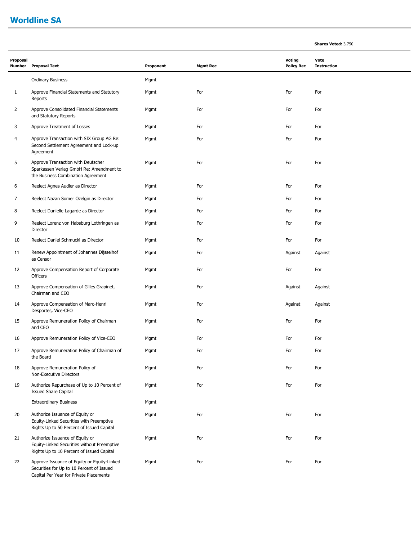#### **Worldline SA**

**Proposal** 

| Proposal<br>Number | <b>Proposal Text</b>                                                                                                | Proponent | <b>Mgmt Rec</b> | Voting<br><b>Policy Rec</b> | Vote<br><b>Instruction</b> |
|--------------------|---------------------------------------------------------------------------------------------------------------------|-----------|-----------------|-----------------------------|----------------------------|
|                    | <b>Ordinary Business</b>                                                                                            | Mqmt      |                 |                             |                            |
| 1                  | Approve Financial Statements and Statutory<br>Reports                                                               | Mgmt      | For             | For                         | For                        |
| $\overline{2}$     | Approve Consolidated Financial Statements<br>and Statutory Reports                                                  | Mqmt      | For             | For                         | For                        |
| 3                  | Approve Treatment of Losses                                                                                         | Mgmt      | For             | For                         | For                        |
| 4                  | Approve Transaction with SIX Group AG Re:<br>Second Settlement Agreement and Lock-up<br>Agreement                   | Mgmt      | For             | For                         | For                        |
| 5                  | Approve Transaction with Deutscher<br>Sparkassen Verlag GmbH Re: Amendment to<br>the Business Combination Agreement | Mqmt      | For             | For                         | For                        |
| 6                  | Reelect Agnes Audier as Director                                                                                    | Mgmt      | For             | For                         | For                        |
| 7                  | Reelect Nazan Somer Ozelgin as Director                                                                             | Mgmt      | For             | For                         | For                        |
| 8                  | Reelect Danielle Lagarde as Director                                                                                | Mgmt      | For             | For                         | For                        |
| 9                  | Reelect Lorenz von Habsburg Lothringen as<br>Director                                                               | Mgmt      | For             | For                         | For                        |
| 10                 | Reelect Daniel Schmucki as Director                                                                                 | Mgmt      | For             | For                         | For                        |
| 11                 | Renew Appointment of Johannes Dijsselhof<br>as Censor                                                               | Mgmt      | For             | Against                     | Against                    |
| 12                 | Approve Compensation Report of Corporate<br>Officers                                                                | Mqmt      | For             | For                         | For                        |
| 13                 | Approve Compensation of Gilles Grapinet,<br>Chairman and CEO                                                        | Mgmt      | For             | Against                     | Against                    |

**Shares Voted:** 3,750

| 14 | Approve Compensation of Marc-Henri<br>Desportes, Vice-CEO | Mamt | For | Against | Against |
|----|-----------------------------------------------------------|------|-----|---------|---------|
| 15 | Approve Remuneration Policy of Chairman<br>and CEO        | Mamt | For | For     | For     |

| 15 | Approve Remuneration Policy of Chairman<br>and CEO                                                                          | Mgmt | For | For | For |
|----|-----------------------------------------------------------------------------------------------------------------------------|------|-----|-----|-----|
| 16 | Approve Remuneration Policy of Vice-CEO                                                                                     | Mgmt | For | For | For |
| 17 | Approve Remuneration Policy of Chairman of<br>the Board                                                                     | Mgmt | For | For | For |
| 18 | Approve Remuneration Policy of<br>Non-Executive Directors                                                                   | Mgmt | For | For | For |
| 19 | Authorize Repurchase of Up to 10 Percent of<br><b>Issued Share Capital</b>                                                  | Mgmt | For | For | For |
|    | <b>Extraordinary Business</b>                                                                                               | Mgmt |     |     |     |
| 20 | Authorize Issuance of Equity or<br>Equity-Linked Securities with Preemptive<br>Rights Up to 50 Percent of Issued Capital    | Mgmt | For | For | For |
| 21 | Authorize Issuance of Equity or<br>Equity-Linked Securities without Preemptive<br>Rights Up to 10 Percent of Issued Capital | Mgmt | For | For | For |
| 22 | Approve Issuance of Equity or Equity-Linked                                                                                 | Mgmt | For | For | For |

Securities for Up to 10 Percent of Issued Capital Per Year for Private Placements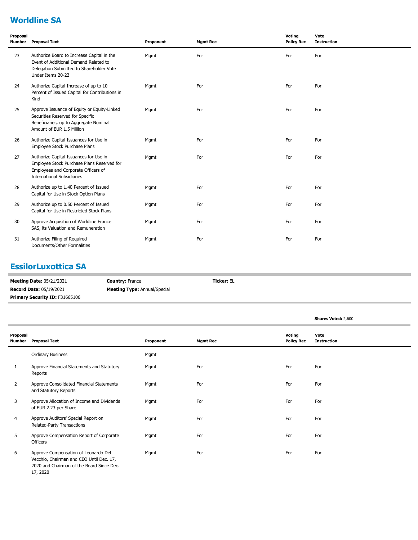### **Worldline SA**

| Proposal<br>Number | <b>Proposal Text</b>                                                                                                                                             | Proponent | <b>Mgmt Rec</b> | Voting<br><b>Policy Rec</b> | Vote<br><b>Instruction</b> |
|--------------------|------------------------------------------------------------------------------------------------------------------------------------------------------------------|-----------|-----------------|-----------------------------|----------------------------|
| 23                 | Authorize Board to Increase Capital in the<br>Event of Additional Demand Related to<br>Delegation Submitted to Shareholder Vote<br>Under Items 20-22             | Mgmt      | For             | For                         | For                        |
| 24                 | Authorize Capital Increase of up to 10<br>Percent of Issued Capital for Contributions in<br>Kind                                                                 | Mgmt      | For             | For                         | For                        |
| 25                 | Approve Issuance of Equity or Equity-Linked<br>Securities Reserved for Specific<br>Beneficiaries, up to Aggregate Nominal<br>Amount of EUR 1.5 Million           | Mgmt      | For             | For                         | For                        |
| 26                 | Authorize Capital Issuances for Use in<br>Employee Stock Purchase Plans                                                                                          | Mgmt      | For             | For                         | For                        |
| 27                 | Authorize Capital Issuances for Use in<br>Employee Stock Purchase Plans Reserved for<br>Employees and Corporate Officers of<br><b>International Subsidiaries</b> | Mgmt      | For             | For                         | For                        |
| 28                 | Authorize up to 1.40 Percent of Issued<br>Capital for Use in Stock Option Plans                                                                                  | Mgmt      | For             | For                         | For                        |
| 29                 | Authorize up to 0.50 Percent of Issued<br>Capital for Use in Restricted Stock Plans                                                                              | Mgmt      | For             | For                         | For                        |
| 30                 | Approve Acquisition of Worldline France<br>SAS, its Valuation and Remuneration                                                                                   | Mgmt      | For             | For                         | For                        |
| 31                 | Authorize Filing of Required<br>Documents/Other Formalities                                                                                                      | Mgmt      | For             | For                         | For                        |

### **EssilorLuxottica SA**

| <b>Meeting Date: 05/21/2021</b>       | <b>Country: France</b>              | <b>Ticker:</b> EL |
|---------------------------------------|-------------------------------------|-------------------|
| <b>Record Date: 05/19/2021</b>        | <b>Meeting Type:</b> Annual/Special |                   |
| <b>Primary Security ID: F31665106</b> |                                     |                   |

|                    |                                                                                                                                           |           |                 |                             | <b>Shares Voted: 2,600</b> |
|--------------------|-------------------------------------------------------------------------------------------------------------------------------------------|-----------|-----------------|-----------------------------|----------------------------|
| Proposal<br>Number | <b>Proposal Text</b>                                                                                                                      | Proponent | <b>Mgmt Rec</b> | Voting<br><b>Policy Rec</b> | Vote<br><b>Instruction</b> |
|                    | <b>Ordinary Business</b>                                                                                                                  | Mgmt      |                 |                             |                            |
| $\mathbf{1}$       | Approve Financial Statements and Statutory<br>Reports                                                                                     | Mgmt      | For             | For                         | For                        |
| 2                  | Approve Consolidated Financial Statements<br>and Statutory Reports                                                                        | Mgmt      | For             | For                         | For                        |
| 3                  | Approve Allocation of Income and Dividends<br>of EUR 2.23 per Share                                                                       | Mgmt      | For             | For                         | For                        |
| 4                  | Approve Auditors' Special Report on<br>Related-Party Transactions                                                                         | Mgmt      | For             | For                         | For                        |
| 5                  | Approve Compensation Report of Corporate<br>Officers                                                                                      | Mgmt      | For             | For                         | For                        |
| 6                  | Approve Compensation of Leonardo Del<br>Vecchio, Chairman and CEO Until Dec. 17,<br>2020 and Chairman of the Board Since Dec.<br>17, 2020 | Mgmt      | For             | For                         | For                        |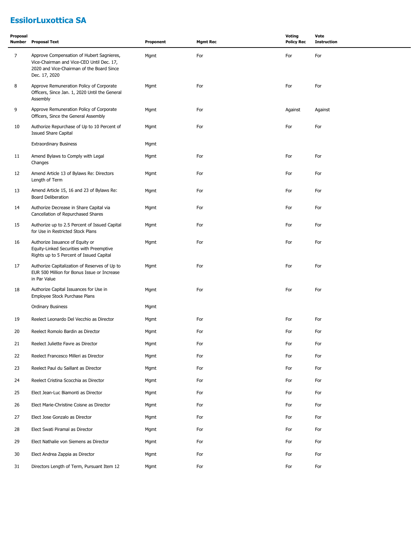# **EssilorLuxottica SA**

| Proposal<br>Number | <b>Proposal Text</b>                                                                                                                                 | Proponent | <b>Mgmt Rec</b> | Voting<br><b>Policy Rec</b> | Vote<br><b>Instruction</b> |
|--------------------|------------------------------------------------------------------------------------------------------------------------------------------------------|-----------|-----------------|-----------------------------|----------------------------|
| $\overline{7}$     | Approve Compensation of Hubert Sagnieres,<br>Vice-Chairman and Vice-CEO Until Dec. 17,<br>2020 and Vice-Chairman of the Board Since<br>Dec. 17, 2020 | Mgmt      | For             | For                         | For                        |
| 8                  | Approve Remuneration Policy of Corporate<br>Officers, Since Jan. 1, 2020 Until the General<br>Assembly                                               | Mgmt      | For             | For                         | For                        |
| 9                  | Approve Remuneration Policy of Corporate<br>Officers, Since the General Assembly                                                                     | Mgmt      | For             | Against                     | Against                    |
| 10                 | Authorize Repurchase of Up to 10 Percent of<br><b>Issued Share Capital</b>                                                                           | Mgmt      | For             | For                         | For                        |
|                    | <b>Extraordinary Business</b>                                                                                                                        | Mgmt      |                 |                             |                            |
| 11                 | Amend Bylaws to Comply with Legal<br>Changes                                                                                                         | Mgmt      | For             | For                         | For                        |
| 12                 | Amend Article 13 of Bylaws Re: Directors<br>Length of Term                                                                                           | Mgmt      | For             | For                         | For                        |
| 13                 | Amend Article 15, 16 and 23 of Bylaws Re:<br><b>Board Deliberation</b>                                                                               | Mgmt      | For             | For                         | For                        |
| 14                 | Authorize Decrease in Share Capital via<br>Cancellation of Repurchased Shares                                                                        | Mgmt      | For             | For                         | For                        |
| 15                 | Authorize up to 2.5 Percent of Issued Capital<br>for Use in Restricted Stock Plans                                                                   | Mgmt      | For             | For                         | For                        |
| 16                 | Authorize Issuance of Equity or<br>Equity-Linked Securities with Preemptive<br>Rights up to 5 Percent of Issued Capital                              | Mgmt      | For             | For                         | For                        |
| 17                 | Authorize Capitalization of Reserves of Up to<br>EUR 500 Million for Bonus Issue or Increase<br>in Par Value                                         | Mgmt      | For             | For                         | For                        |
| 18                 | Authorize Capital Issuances for Use in<br>Employee Stock Purchase Plans                                                                              | Mgmt      | For             | For                         | For                        |
|                    | <b>Ordinary Business</b>                                                                                                                             | Mgmt      |                 |                             |                            |
| 19                 | Reelect Leonardo Del Vecchio as Director                                                                                                             | Mgmt      | For             | For                         | For                        |
| 20                 | Reelect Romolo Bardin as Director                                                                                                                    | Mgmt      | For             | For                         | For                        |
| 21                 | Reelect Juliette Favre as Director                                                                                                                   | Mgmt      | For             | For                         | For                        |
| 22                 | Reelect Francesco Milleri as Director                                                                                                                | Mgmt      | For             | For                         | For                        |
| 23                 | Reelect Paul du Saillant as Director                                                                                                                 | Mgmt      | For             | For                         | For                        |
| 24                 | Reelect Cristina Scocchia as Director                                                                                                                | Mgmt      | For             | For                         | For                        |
| 25                 | Elect Jean-Luc Biamonti as Director                                                                                                                  | Mgmt      | For             | For                         | For                        |
| 26                 | Elect Marie-Christine Coisne as Director                                                                                                             | Mgmt      | For             | For                         | For                        |
| 27                 | Elect Jose Gonzalo as Director                                                                                                                       | Mgmt      | For             | For                         | For                        |
| 28                 | Elect Swati Piramal as Director                                                                                                                      | Mgmt      | For             | For                         | For                        |
| 29                 | Elect Nathalie von Siemens as Director                                                                                                               | Mgmt      | For             | For                         | For                        |
| 30                 | Elect Andrea Zappia as Director                                                                                                                      | Mgmt      | For             | For                         | For                        |
| 31                 | Directors Length of Term, Pursuant Item 12                                                                                                           | Mgmt      | For             | For                         | For                        |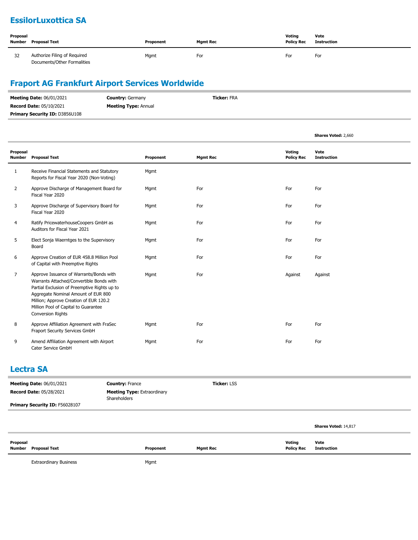### **EssilorLuxottica SA**

| Proposal<br>Number | Proposal Text                                               | Proponent | <b>Mgmt Rec</b> | Votina<br><b>Policy Rec</b> | Vote<br><b>Instruction</b> |
|--------------------|-------------------------------------------------------------|-----------|-----------------|-----------------------------|----------------------------|
| 32                 | Authorize Filing of Required<br>Documents/Other Formalities | Mgmt      | For             | For                         | For                        |

### **Fraport AG Frankfurt Airport Services Worldwide**

| <b>Meeting Date: 06/01/2021</b>       | <b>Country: Germany</b>     | <b>Ticker: FRA</b> |
|---------------------------------------|-----------------------------|--------------------|
| <b>Record Date: 05/10/2021</b>        | <b>Meeting Type: Annual</b> |                    |
| <b>Primary Security ID: D3856U108</b> |                             |                    |

|                           |                                                                                                                                                                                                                                                                                          |           |                 |                             | Shares Voted: 2,660        |
|---------------------------|------------------------------------------------------------------------------------------------------------------------------------------------------------------------------------------------------------------------------------------------------------------------------------------|-----------|-----------------|-----------------------------|----------------------------|
| Proposal<br><b>Number</b> | <b>Proposal Text</b>                                                                                                                                                                                                                                                                     | Proponent | <b>Mgmt Rec</b> | Voting<br><b>Policy Rec</b> | Vote<br><b>Instruction</b> |
| 1                         | Receive Financial Statements and Statutory<br>Reports for Fiscal Year 2020 (Non-Voting)                                                                                                                                                                                                  | Mgmt      |                 |                             |                            |
| $\overline{2}$            | Approve Discharge of Management Board for<br>Fiscal Year 2020                                                                                                                                                                                                                            | Mgmt      | For             | For                         | For                        |
| 3                         | Approve Discharge of Supervisory Board for<br>Fiscal Year 2020                                                                                                                                                                                                                           | Mgmt      | For             | For                         | For                        |
| 4                         | Ratify PricewaterhouseCoopers GmbH as<br>Auditors for Fiscal Year 2021                                                                                                                                                                                                                   | Mgmt      | For             | For                         | For                        |
| 5                         | Elect Sonja Waerntges to the Supervisory<br>Board                                                                                                                                                                                                                                        | Mgmt      | For             | For                         | For                        |
| 6                         | Approve Creation of EUR 458.8 Million Pool<br>of Capital with Preemptive Rights                                                                                                                                                                                                          | Mgmt      | For             | For                         | For                        |
| 7                         | Approve Issuance of Warrants/Bonds with<br>Warrants Attached/Convertible Bonds with<br>Partial Exclusion of Preemptive Rights up to<br>Aggregate Nominal Amount of EUR 800<br>Million; Approve Creation of EUR 120.2<br>Million Pool of Capital to Guarantee<br><b>Conversion Rights</b> | Mgmt      | For             | Against                     | Against                    |
| 8                         | Approve Affiliation Agreement with FraSec<br>Fraport Security Services GmbH                                                                                                                                                                                                              | Mgmt      | For             | For                         | For                        |
| 9                         | Amend Affiliation Agreement with Airport<br>Cater Service GmbH                                                                                                                                                                                                                           | Mgmt      | For             | For                         | For                        |

#### **Lectra SA**

| <b>Meeting Date: 06/01/2021</b> | <b>Country: France</b>                             | <b>Ticker: LSS</b> |  |
|---------------------------------|----------------------------------------------------|--------------------|--|
| <b>Record Date: 05/28/2021</b>  | <b>Meeting Type:</b> Extraordinary<br>Shareholders |                    |  |
| Primary Security ID: F56028107  |                                                    |                    |  |
|                                 |                                                    |                    |  |

|                                  |           |                 |                                    | Shares Voted: 14,817 |
|----------------------------------|-----------|-----------------|------------------------------------|----------------------|
| Proposal<br>Number Proposal Text | Proponent | <b>Mgmt Rec</b> | <b>Voting</b><br><b>Policy Rec</b> | Vote<br>Instruction  |

Extraordinary Business **Mgmt**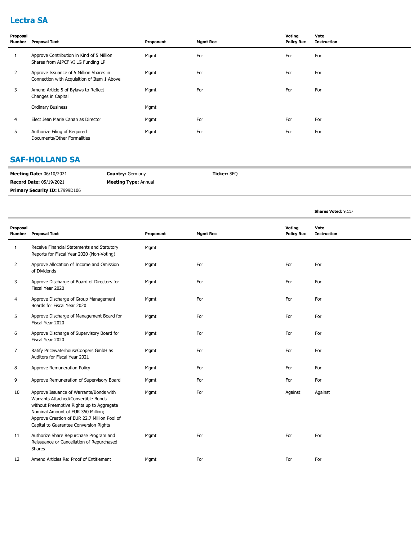### **Lectra SA**

| Proposal<br>Number | <b>Proposal Text</b>                                                                   | Proponent | <b>Mgmt Rec</b> | Voting<br><b>Policy Rec</b> | Vote<br><b>Instruction</b> |
|--------------------|----------------------------------------------------------------------------------------|-----------|-----------------|-----------------------------|----------------------------|
| $\mathbf{1}$       | Approve Contribution in Kind of 5 Million<br>Shares from AIPCF VI LG Funding LP        | Mgmt      | For             | For                         | For                        |
| $\mathbf{2}$       | Approve Issuance of 5 Million Shares in<br>Connection with Acquisition of Item 1 Above | Mgmt      | For             | For                         | For                        |
| 3                  | Amend Article 5 of Bylaws to Reflect<br>Changes in Capital                             | Mgmt      | For             | For                         | For                        |
|                    | <b>Ordinary Business</b>                                                               | Mgmt      |                 |                             |                            |
| 4                  | Elect Jean Marie Canan as Director                                                     | Mgmt      | For             | For                         | For                        |
| 5                  | Authorize Filing of Required<br>Documents/Other Formalities                            | Mgmt      | For             | For                         | For                        |

#### **SAF-HOLLAND SA**

| <b>Meeting Date: 06/10/2021</b>       | <b>Country: Germany</b>     | Ticker: SFO |
|---------------------------------------|-----------------------------|-------------|
| <b>Record Date: 05/19/2021</b>        | <b>Meeting Type: Annual</b> |             |
| <b>Primary Security ID: L7999D106</b> |                             |             |

**Shares Voted:** 9,117

| Proposal | <b>Number</b> Proposal Text                                                                                                                                                                                                                                 | Proponent | <b>Mgmt Rec</b> | Voting<br><b>Policy Rec</b> | Vote<br><b>Instruction</b> |
|----------|-------------------------------------------------------------------------------------------------------------------------------------------------------------------------------------------------------------------------------------------------------------|-----------|-----------------|-----------------------------|----------------------------|
| 1        | Receive Financial Statements and Statutory<br>Reports for Fiscal Year 2020 (Non-Voting)                                                                                                                                                                     | Mgmt      |                 |                             |                            |
| 2        | Approve Allocation of Income and Omission<br>of Dividends                                                                                                                                                                                                   | Mgmt      | For             | For                         | For                        |
| 3        | Approve Discharge of Board of Directors for<br>Fiscal Year 2020                                                                                                                                                                                             | Mgmt      | For             | For                         | For                        |
| 4        | Approve Discharge of Group Management<br>Boards for Fiscal Year 2020                                                                                                                                                                                        | Mgmt      | For             | For                         | For                        |
| 5        | Approve Discharge of Management Board for<br>Fiscal Year 2020                                                                                                                                                                                               | Mgmt      | For             | For                         | For                        |
| 6        | Approve Discharge of Supervisory Board for<br>Fiscal Year 2020                                                                                                                                                                                              | Mgmt      | For             | For                         | For                        |
| 7        | Ratify PricewaterhouseCoopers GmbH as<br>Auditors for Fiscal Year 2021                                                                                                                                                                                      | Mgmt      | For             | For                         | For                        |
| 8        | Approve Remuneration Policy                                                                                                                                                                                                                                 | Mgmt      | For             | For                         | For                        |
| 9        | Approve Remuneration of Supervisory Board                                                                                                                                                                                                                   | Mgmt      | For             | For                         | For                        |
| 10       | Approve Issuance of Warrants/Bonds with<br>Warrants Attached/Convertible Bonds<br>without Preemptive Rights up to Aggregate<br>Nominal Amount of EUR 350 Million;<br>Approve Creation of EUR 22.7 Million Pool of<br>Capital to Guarantee Conversion Rights | Mgmt      | For             | Against                     | Against                    |
| 11       | Authorize Share Repurchase Program and<br>Reissuance or Cancellation of Repurchased<br>Shares                                                                                                                                                               | Mgmt      | For             | For                         | For                        |
| 12       | Amend Articles Re: Proof of Entitlement                                                                                                                                                                                                                     | Mgmt      | For             | For                         | For                        |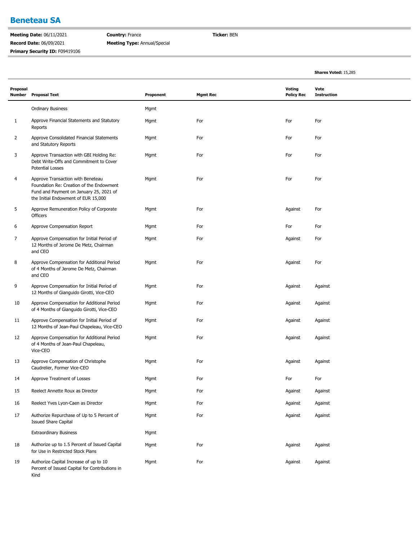#### **Beneteau SA**

**Meeting Date:** 06/11/2021 **Record Date:** 06/09/2021 **Primary Security ID:** F09419106 **Country:** France **Meeting Type:** Annual/Special **Ticker:** BEN

|                           |                                                                                                                                                                 |           |                 |                             | Shares Voted: 15,285       |  |
|---------------------------|-----------------------------------------------------------------------------------------------------------------------------------------------------------------|-----------|-----------------|-----------------------------|----------------------------|--|
| Proposal<br><b>Number</b> | <b>Proposal Text</b>                                                                                                                                            | Proponent | <b>Mgmt Rec</b> | Voting<br><b>Policy Rec</b> | Vote<br><b>Instruction</b> |  |
|                           | <b>Ordinary Business</b>                                                                                                                                        | Mgmt      |                 |                             |                            |  |
| 1                         | Approve Financial Statements and Statutory<br>Reports                                                                                                           | Mgmt      | For             | For                         | For                        |  |
| $\overline{2}$            | Approve Consolidated Financial Statements<br>and Statutory Reports                                                                                              | Mgmt      | For             | For                         | For                        |  |
| 3                         | Approve Transaction with GBI Holding Re:<br>Debt Write-Offs and Commitment to Cover<br><b>Potential Losses</b>                                                  | Mgmt      | For             | For                         | For                        |  |
| 4                         | Approve Transaction with Beneteau<br>Foundation Re: Creation of the Endowment<br>Fund and Payment on January 25, 2021 of<br>the Initial Endowment of EUR 15,000 | Mgmt      | For             | For                         | For                        |  |
| 5                         | Approve Remuneration Policy of Corporate<br>Officers                                                                                                            | Mgmt      | For             | Against                     | For                        |  |
| 6                         | Approve Compensation Report                                                                                                                                     | Mgmt      | For             | For                         | For                        |  |
| 7                         | Approve Compensation for Initial Period of<br>12 Months of Jerome De Metz, Chairman<br>and CEO                                                                  | Mgmt      | For             | Against                     | For                        |  |
| 8                         | Approve Compensation for Additional Period<br>of 4 Months of Jerome De Metz, Chairman<br>and CEO                                                                | Mgmt      | For             | Against                     | For                        |  |
| 9                         | Approve Compensation for Initial Period of<br>12 Months of Gianguido Girotti, Vice-CEO                                                                          | Mgmt      | For             | Against                     | Against                    |  |
| 10                        | Approve Compensation for Additional Period<br>of 4 Months of Gianguido Girotti, Vice-CEO                                                                        | Mgmt      | For             | Against                     | Against                    |  |
| 11                        | Approve Compensation for Initial Period of<br>12 Months of Jean-Paul Chapeleau, Vice-CEO                                                                        | Mgmt      | For             | Against                     | Against                    |  |
| 12                        | Approve Compensation for Additional Period<br>of 4 Months of Jean-Paul Chapeleau,<br>Vice-CEO                                                                   | Mgmt      | For             | Against                     | Against                    |  |
| 13                        | Approve Compensation of Christophe<br>Caudrelier, Former Vice-CEO                                                                                               | Mgmt      | For             | Against                     | Against                    |  |
| 14                        | Approve Treatment of Losses                                                                                                                                     | Mgmt      | For             | For                         | For                        |  |
| 15                        | Reelect Annette Roux as Director                                                                                                                                | Mgmt      | For             | Against                     | Against                    |  |
| 16                        | Reelect Yves Lyon-Caen as Director                                                                                                                              | Mgmt      | For             | Against                     | Against                    |  |
| 17                        | Authorize Repurchase of Up to 5 Percent of<br><b>Issued Share Capital</b>                                                                                       | Mgmt      | For             | Against                     | Against                    |  |
|                           | <b>Extraordinary Business</b>                                                                                                                                   | Mgmt      |                 |                             |                            |  |
| 18                        | Authorize up to 1.5 Percent of Issued Capital<br>for Use in Restricted Stock Plans                                                                              | Mgmt      | For             | Against                     | Against                    |  |
| 19                        | Authorize Capital Increase of up to 10<br>Percent of Issued Capital for Contributions in<br>Kind                                                                | Mgmt      | For             | Against                     | Against                    |  |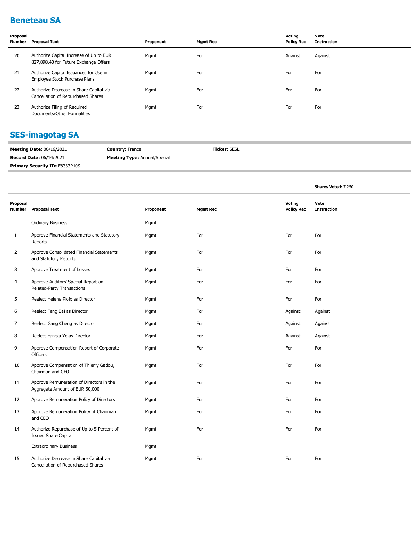### **Beneteau SA**

| Proposal<br>Number | <b>Proposal Text</b>                                                             | Proponent | <b>Mgmt Rec</b> | Voting<br><b>Policy Rec</b> | Vote<br><b>Instruction</b> |
|--------------------|----------------------------------------------------------------------------------|-----------|-----------------|-----------------------------|----------------------------|
| 20                 | Authorize Capital Increase of Up to EUR<br>827,898.40 for Future Exchange Offers | Mgmt      | For             | Against                     | Against                    |
| 21                 | Authorize Capital Issuances for Use in<br>Employee Stock Purchase Plans          | Mgmt      | For             | For                         | For                        |
| 22                 | Authorize Decrease in Share Capital via<br>Cancellation of Repurchased Shares    | Mgmt      | For             | For                         | For                        |
| 23                 | Authorize Filing of Required<br>Documents/Other Formalities                      | Mgmt      | For             | For                         | For                        |

### **SES-imagotag SA**

| <b>Meeting Date: 06/16/2021</b> | <b>Country: France</b>              | <b>Ticker: SESL</b> |
|---------------------------------|-------------------------------------|---------------------|
| <b>Record Date: 06/14/2021</b>  | <b>Meeting Type:</b> Annual/Special |                     |
| Primary Security ID: F8333P109  |                                     |                     |

**Shares Voted:** 7,250

| Proposal<br>Number | <b>Proposal Text</b>                                                          | Proponent | <b>Mgmt Rec</b> | Voting<br><b>Policy Rec</b> | Vote<br><b>Instruction</b> |
|--------------------|-------------------------------------------------------------------------------|-----------|-----------------|-----------------------------|----------------------------|
|                    | <b>Ordinary Business</b>                                                      | Mgmt      |                 |                             |                            |
| $\mathbf{1}$       | Approve Financial Statements and Statutory<br>Reports                         | Mgmt      | For             | For                         | For                        |
| $\overline{2}$     | Approve Consolidated Financial Statements<br>and Statutory Reports            | Mgmt      | For             | For                         | For                        |
| 3                  | Approve Treatment of Losses                                                   | Mgmt      | For             | For                         | For                        |
| 4                  | Approve Auditors' Special Report on<br>Related-Party Transactions             | Mgmt      | For             | For                         | For                        |
| 5                  | Reelect Helene Ploix as Director                                              | Mgmt      | For             | For                         | For                        |
| 6                  | Reelect Feng Bai as Director                                                  | Mgmt      | For             | Against                     | Against                    |
| 7                  | Reelect Gang Cheng as Director                                                | Mgmt      | For             | Against                     | Against                    |
| 8                  | Reelect Fanggi Ye as Director                                                 | Mgmt      | For             | Against                     | Against                    |
| 9                  | Approve Compensation Report of Corporate<br>Officers                          | Mgmt      | For             | For                         | For                        |
| 10                 | Approve Compensation of Thierry Gadou,<br>Chairman and CEO                    | Mgmt      | For             | For                         | For                        |
| 11                 | Approve Remuneration of Directors in the<br>Aggregate Amount of EUR 50,000    | Mgmt      | For             | For                         | For                        |
| 12                 | Approve Remuneration Policy of Directors                                      | Mgmt      | For             | For                         | For                        |
| 13                 | Approve Remuneration Policy of Chairman<br>and CEO                            | Mgmt      | For             | For                         | For                        |
| 14                 | Authorize Repurchase of Up to 5 Percent of<br><b>Issued Share Capital</b>     | Mgmt      | For             | For                         | For                        |
|                    | <b>Extraordinary Business</b>                                                 | Mgmt      |                 |                             |                            |
| 15                 | Authorize Decrease in Share Capital via<br>Cancellation of Repurchased Shares | Mgmt      | For             | For                         | For                        |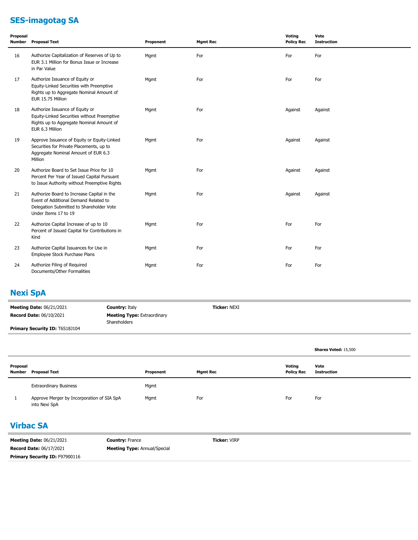# **SES-imagotag SA**

| Proposal | Number Proposal Text                                                                                                                                    | Proponent | <b>Mgmt Rec</b> | Voting<br><b>Policy Rec</b> | Vote<br><b>Instruction</b> |
|----------|---------------------------------------------------------------------------------------------------------------------------------------------------------|-----------|-----------------|-----------------------------|----------------------------|
| 16       | Authorize Capitalization of Reserves of Up to<br>EUR 3.1 Million for Bonus Issue or Increase<br>in Par Value                                            | Mgmt      | For             | For                         | For                        |
| 17       | Authorize Issuance of Equity or<br>Equity-Linked Securities with Preemptive<br>Rights up to Aggregate Nominal Amount of<br>EUR 15.75 Million            | Mgmt      | For             | For                         | For                        |
| 18       | Authorize Issuance of Equity or<br>Equity-Linked Securities without Preemptive<br>Rights up to Aggregate Nominal Amount of<br>EUR 6.3 Million           | Mgmt      | For             | Against                     | Against                    |
| 19       | Approve Issuance of Equity or Equity-Linked<br>Securities for Private Placements, up to<br>Aggregate Nominal Amount of EUR 6.3<br>Million               | Mgmt      | For             | Against                     | Against                    |
| 20       | Authorize Board to Set Issue Price for 10<br>Percent Per Year of Issued Capital Pursuant<br>to Issue Authority without Preemptive Rights                | Mgmt      | For             | Against                     | Against                    |
| 21       | Authorize Board to Increase Capital in the<br>Event of Additional Demand Related to<br>Delegation Submitted to Shareholder Vote<br>Under Items 17 to 19 | Mgmt      | For             | Against                     | Against                    |
| 22       | Authorize Capital Increase of up to 10<br>Percent of Issued Capital for Contributions in<br>Kind                                                        | Mgmt      | For             | For                         | For                        |
| 23       | Authorize Capital Issuances for Use in<br>Employee Stock Purchase Plans                                                                                 | Mgmt      | For             | For                         | For                        |
| 24       | Authorize Filing of Required<br>Documents/Other Formalities                                                                                             | Mgmt      | For             | For                         | For                        |

### **Nexi SpA**

| <b>Meeting Date: 06/21/2021</b>       | <b>Country: Italy</b>                                     | <b>Ticker: NEXI</b> |
|---------------------------------------|-----------------------------------------------------------|---------------------|
| <b>Record Date: 06/10/2021</b>        | <b>Meeting Type: Extraordinary</b><br><b>Shareholders</b> |                     |
| <b>Primary Security ID: T6S18J104</b> |                                                           |                     |

|                    |                                                             |           |                 |                             | <b>Shares Voted: 15,500</b> |
|--------------------|-------------------------------------------------------------|-----------|-----------------|-----------------------------|-----------------------------|
| Proposal<br>Number | Proposal Text                                               | Proponent | <b>Mgmt Rec</b> | Voting<br><b>Policy Rec</b> | Vote<br><b>Instruction</b>  |
|                    | <b>Extraordinary Business</b>                               | Mgmt      |                 |                             |                             |
|                    | Approve Merger by Incorporation of SIA SpA<br>into Nexi SpA | Mgmt      | For             | For                         | For                         |

### **Virbac SA**

| <b>Meeting Date: 06/21/2021</b>       | <b>Country: France</b>              | <b>Ticker:</b> VIRP |
|---------------------------------------|-------------------------------------|---------------------|
| <b>Record Date: 06/17/2021</b>        | <b>Meeting Type:</b> Annual/Special |                     |
| <b>Primary Security ID: F97900116</b> |                                     |                     |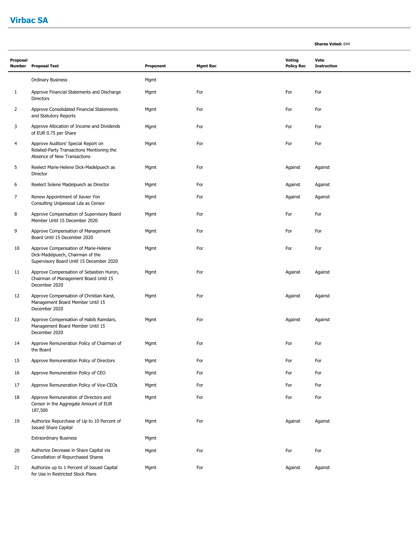### **Virbac SA**

| Proposal<br>Number | <b>Proposal Text</b>                                                                                                 | Proponent | <b>Mgmt Rec</b> | <b>Voting</b><br><b>Policy Rec</b> | Vote<br><b>Instruction</b> |  |
|--------------------|----------------------------------------------------------------------------------------------------------------------|-----------|-----------------|------------------------------------|----------------------------|--|
|                    | Ordinary Business                                                                                                    | Mgmt      |                 |                                    |                            |  |
| $\mathbf{1}$       | Approve Financial Statements and Discharge<br><b>Directors</b>                                                       | Mgmt      | For             | For                                | For                        |  |
| 2                  | Approve Consolidated Financial Statements<br>and Statutory Reports                                                   | Mgmt      | For             | For                                | For                        |  |
| 3                  | Approve Allocation of Income and Dividends<br>of EUR 0.75 per Share                                                  | Mgmt      | For             | For                                | For                        |  |
| $\overline{4}$     | Approve Auditors' Special Report on<br>Related-Party Transactions Mentioning the<br>Absence of New Transactions      | Mgmt      | For             | For                                | For                        |  |
| 5                  | Reelect Marie-Helene Dick-Madelpuech as<br>Director                                                                  | Mgmt      | For             | Against                            | Against                    |  |
| 6                  | Reelect Solene Madelpuech as Director                                                                                | Mgmt      | For             | Against                            | Against                    |  |
| 7                  | Renew Appointment of Xavier Yon<br>Consulting Unipessoal Lda as Censor                                               | Mgmt      | For             | Against                            | Against                    |  |
| 8                  | Approve Compensation of Supervisory Board<br>Member Until 15 December 2020                                           | Mgmt      | For             | For                                | For                        |  |
| 9                  | Approve Compensation of Management<br>Board Until 15 December 2020                                                   | Mgmt      | For             | For                                | For                        |  |
| 10                 | Approve Compensation of Marie-Helene<br>Dick-Madelpuech, Chairman of the<br>Supervisory Board Until 15 December 2020 | Mgmt      | For             | For                                | For                        |  |
| 11                 | Approve Compensation of Sebastien Huron,<br>Chairman of Management Board Until 15<br>December 2020                   | Mgmt      | For             | Against                            | Against                    |  |
| 12                 | Approve Compensation of Christian Karst,<br>Management Board Member Until 15<br>December 2020                        | Mgmt      | For             | Against                            | Against                    |  |
| 13                 | Approve Compensation of Habib Ramdani,<br>Management Board Member Until 15<br>December 2020                          | Mgmt      | For             | Against                            | Against                    |  |
| 14                 | Approve Remuneration Policy of Chairman of<br>the Board                                                              | Mgmt      | For             | For                                | For                        |  |
| 15                 | Approve Remuneration Policy of Directors                                                                             | Mgmt      | For             | For                                | For                        |  |
| 16                 | Approve Remuneration Policy of CEO                                                                                   | Mgmt      | For             | For                                | For                        |  |
| 17                 | Approve Remuneration Policy of Vice-CEOs                                                                             | Mgmt      | For             | For                                | For                        |  |
| 18                 | Approve Remuneration of Directors and<br>Censor in the Aggregate Amount of EUR<br>187,500                            | Mgmt      | For             | For                                | For                        |  |
| 19                 | Authorize Repurchase of Up to 10 Percent of<br><b>Issued Share Capital</b>                                           | Mgmt      | For             | Against                            | Against                    |  |
|                    | <b>Extraordinary Business</b>                                                                                        | Mgmt      |                 |                                    |                            |  |
| 20                 | Authorize Decrease in Share Capital via<br>Cancellation of Repurchased Shares                                        | Mgmt      | For             | For                                | For                        |  |
| 21                 | Authorize up to 1 Percent of Issued Capital<br>for Use in Restricted Stock Plans                                     | Mgmt      | For             | Against                            | Against                    |  |

**Shares Voted:** 644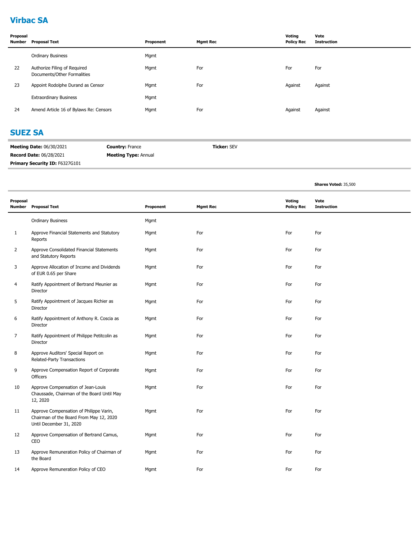### **Virbac SA**

| Proposal<br><b>Number</b> | <b>Proposal Text</b>                                        | Proponent | <b>Mgmt Rec</b> | Voting<br><b>Policy Rec</b> | Vote<br><b>Instruction</b> |
|---------------------------|-------------------------------------------------------------|-----------|-----------------|-----------------------------|----------------------------|
|                           | <b>Ordinary Business</b>                                    | Mgmt      |                 |                             |                            |
| 22                        | Authorize Filing of Required<br>Documents/Other Formalities | Mgmt      | For             | For                         | For                        |
| 23                        | Appoint Rodolphe Durand as Censor                           | Mgmt      | For             | Against                     | Against                    |
|                           | <b>Extraordinary Business</b>                               | Mgmt      |                 |                             |                            |
| 24                        | Amend Article 16 of Bylaws Re: Censors                      | Mgmt      | For             | Against                     | Against                    |

#### **SUEZ SA**

| <b>Meeting Date: 06/30/2021</b> | <b>Country: France</b>      | <b>Ticker: SEV</b> |
|---------------------------------|-----------------------------|--------------------|
| <b>Record Date: 06/28/2021</b>  | <b>Meeting Type: Annual</b> |                    |
| Primary Security ID: F6327G101  |                             |                    |

|                |                                                                                                               |           |                 |                                    | Shares Voted: 35,500       |
|----------------|---------------------------------------------------------------------------------------------------------------|-----------|-----------------|------------------------------------|----------------------------|
| Proposal       | Number Proposal Text                                                                                          | Proponent | <b>Mgmt Rec</b> | <b>Voting</b><br><b>Policy Rec</b> | Vote<br><b>Instruction</b> |
|                | <b>Ordinary Business</b>                                                                                      | Mgmt      |                 |                                    |                            |
| $\mathbf{1}$   | Approve Financial Statements and Statutory<br>Reports                                                         | Mgmt      | For             | For                                | For                        |
| $\overline{2}$ | Approve Consolidated Financial Statements<br>and Statutory Reports                                            | Mgmt      | For             | For                                | For                        |
| 3              | Approve Allocation of Income and Dividends<br>of EUR 0.65 per Share                                           | Mgmt      | For             | For                                | For                        |
| 4              | Ratify Appointment of Bertrand Meunier as<br>Director                                                         | Mgmt      | For             | For                                | For                        |
| 5              | Ratify Appointment of Jacques Richier as<br>Director                                                          | Mgmt      | For             | For                                | For                        |
| 6              | Ratify Appointment of Anthony R. Coscia as<br>Director                                                        | Mgmt      | For             | For                                | For                        |
| 7              | Ratify Appointment of Philippe Petitcolin as<br>Director                                                      | Mgmt      | For             | For                                | For                        |
| 8              | Approve Auditors' Special Report on<br>Related-Party Transactions                                             | Mgmt      | For             | For                                | For                        |
| 9              | Approve Compensation Report of Corporate<br><b>Officers</b>                                                   | Mgmt      | For             | For                                | For                        |
| 10             | Approve Compensation of Jean-Louis<br>Chaussade, Chairman of the Board Until May<br>12, 2020                  | Mgmt      | For             | For                                | For                        |
| 11             | Approve Compensation of Philippe Varin,<br>Chairman of the Board From May 12, 2020<br>Until December 31, 2020 | Mgmt      | For             | For                                | For                        |
| 12             | Approve Compensation of Bertrand Camus,<br>CEO                                                                | Mgmt      | For             | For                                | For                        |
| 13             | Approve Remuneration Policy of Chairman of<br>the Board                                                       | Mgmt      | For             | For                                | For                        |
| 14             | Approve Remuneration Policy of CEO                                                                            | Mgmt      | For             | For                                | For                        |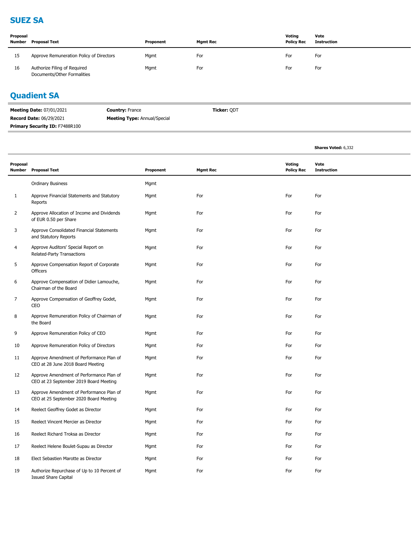#### **SUEZ SA**

| Proposal<br>Number | Proposal Text                                               | Proponent | Mgmt Rec | Voting<br><b>Policy Rec</b> | Vote<br>Instruction |
|--------------------|-------------------------------------------------------------|-----------|----------|-----------------------------|---------------------|
| 15                 | Approve Remuneration Policy of Directors                    | Mgmt      | For      | For                         | For                 |
| 16                 | Authorize Filing of Required<br>Documents/Other Formalities | Mgmt      | For      | For                         | For                 |

# **Quadient SA**

| <b>Meeting Date: 07/01/2021</b>       | <b>Country: France</b>              | Ticker: ODT |
|---------------------------------------|-------------------------------------|-------------|
| <b>Record Date: 06/29/2021</b>        | <b>Meeting Type: Annual/Special</b> |             |
| <b>Primary Security ID: F7488R100</b> |                                     |             |

|                    |                                                                                    |           |                 |                             | Shares Voted: 6,332        |
|--------------------|------------------------------------------------------------------------------------|-----------|-----------------|-----------------------------|----------------------------|
| Proposal<br>Number | <b>Proposal Text</b>                                                               | Proponent | <b>Mgmt Rec</b> | Voting<br><b>Policy Rec</b> | Vote<br><b>Instruction</b> |
|                    | <b>Ordinary Business</b>                                                           | Mgmt      |                 |                             |                            |
| 1                  | Approve Financial Statements and Statutory<br>Reports                              | Mgmt      | For             | For                         | For                        |
| $\overline{2}$     | Approve Allocation of Income and Dividends<br>of EUR 0.50 per Share                | Mgmt      | For             | For                         | For                        |
| 3                  | Approve Consolidated Financial Statements<br>and Statutory Reports                 | Mgmt      | For             | For                         | For                        |
| 4                  | Approve Auditors' Special Report on<br>Related-Party Transactions                  | Mgmt      | For             | For                         | For                        |
| 5                  | Approve Compensation Report of Corporate<br>Officers                               | Mgmt      | For             | For                         | For                        |
| 6                  | Approve Compensation of Didier Lamouche,<br>Chairman of the Board                  | Mgmt      | For             | For                         | For                        |
| 7                  | Approve Compensation of Geoffrey Godet,<br>CEO                                     | Mgmt      | For             | For                         | For                        |
| 8                  | Approve Remuneration Policy of Chairman of<br>the Board                            | Mgmt      | For             | For                         | For                        |
| 9                  | Approve Remuneration Policy of CEO                                                 | Mgmt      | For             | For                         | For                        |
| 10                 | Approve Remuneration Policy of Directors                                           | Mgmt      | For             | For                         | For                        |
| 11                 | Approve Amendment of Performance Plan of<br>CEO at 28 June 2018 Board Meeting      | Mgmt      | For             | For                         | For                        |
| 12                 | Approve Amendment of Performance Plan of<br>CEO at 23 September 2019 Board Meeting | Mgmt      | For             | For                         | For                        |
| 13                 | Approve Amendment of Performance Plan of<br>CEO at 25 September 2020 Board Meeting | Mgmt      | For             | For                         | For                        |
| 14                 | Reelect Geoffrey Godet as Director                                                 | Mgmt      | For             | For                         | For                        |
| 15                 | Reelect Vincent Mercier as Director                                                | Mgmt      | For             | For                         | For                        |
| 16                 | Reelect Richard Troksa as Director                                                 | Mgmt      | For             | For                         | For                        |
| 17                 | Reelect Helene Boulet-Supau as Director                                            | Mgmt      | For             | For                         | For                        |
| 18                 | Elect Sebastien Marotte as Director                                                | Mgmt      | For             | For                         | For                        |
| 19                 | Authorize Repurchase of Up to 10 Percent of<br><b>Issued Share Capital</b>         | Mgmt      | For             | For                         | For                        |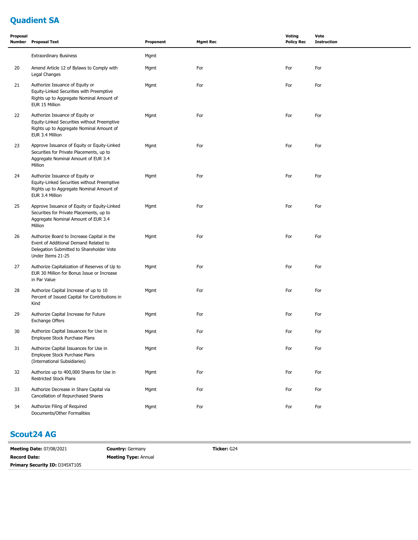# **Quadient SA**

| Proposal | Number Proposal Text                                                                                                                                 | Proponent | <b>Mgmt Rec</b> | Voting<br><b>Policy Rec</b> | Vote<br><b>Instruction</b> |
|----------|------------------------------------------------------------------------------------------------------------------------------------------------------|-----------|-----------------|-----------------------------|----------------------------|
|          | <b>Extraordinary Business</b>                                                                                                                        | Mgmt      |                 |                             |                            |
| 20       | Amend Article 12 of Bylaws to Comply with<br>Legal Changes                                                                                           | Mgmt      | For             | For                         | For                        |
| 21       | Authorize Issuance of Equity or<br>Equity-Linked Securities with Preemptive<br>Rights up to Aggregate Nominal Amount of<br>EUR 15 Million            | Mgmt      | For             | For                         | For                        |
| 22       | Authorize Issuance of Equity or<br>Equity-Linked Securities without Preemptive<br>Rights up to Aggregate Nominal Amount of<br>EUR 3.4 Million        | Mgmt      | For             | For                         | For                        |
| 23       | Approve Issuance of Equity or Equity-Linked<br>Securities for Private Placements, up to<br>Aggregate Nominal Amount of EUR 3.4<br>Million            | Mgmt      | For             | For                         | For                        |
| 24       | Authorize Issuance of Equity or<br>Equity-Linked Securities without Preemptive<br>Rights up to Aggregate Nominal Amount of<br>EUR 3.4 Million        | Mgmt      | For             | For                         | For                        |
| 25       | Approve Issuance of Equity or Equity-Linked<br>Securities for Private Placements, up to<br>Aggregate Nominal Amount of EUR 3.4<br>Million            | Mgmt      | For             | For                         | For                        |
| 26       | Authorize Board to Increase Capital in the<br>Event of Additional Demand Related to<br>Delegation Submitted to Shareholder Vote<br>Under Items 21-25 | Mgmt      | For             | For                         | For                        |
| 27       | Authorize Capitalization of Reserves of Up to<br>EUR 30 Million for Bonus Issue or Increase<br>in Par Value                                          | Mgmt      | For             | For                         | For                        |
| 28       | Authorize Capital Increase of up to 10<br>Percent of Issued Capital for Contributions in<br>Kind                                                     | Mgmt      | For             | For                         | For                        |
| 29       | Authorize Capital Increase for Future<br><b>Exchange Offers</b>                                                                                      | Mgmt      | For             | For                         | For                        |
| 30       | Authorize Capital Issuances for Use in<br>Employee Stock Purchase Plans                                                                              | Mgmt      | For             | For                         | For                        |
| 31       | Authorize Capital Issuances for Use in<br>Employee Stock Purchase Plans<br>(International Subsidiaries)                                              | Mgmt      | For             | For                         | For                        |
| 32       | Authorize up to 400,000 Shares for Use in<br>Restricted Stock Plans                                                                                  | Mgmt      | For             | For                         | For                        |
| 33       | Authorize Decrease in Share Capital via<br>Cancellation of Repurchased Shares                                                                        | Mgmt      | For             | For                         | For                        |
| 34       | Authorize Filing of Required<br>Documents/Other Formalities                                                                                          | Mgmt      | For             | For                         | For                        |

#### **Scout24 AG**

| <b>Meeting Date: 07/08/2021</b>       | <b>Country: Germany</b>     | Ticker: G24 |
|---------------------------------------|-----------------------------|-------------|
| <b>Record Date:</b>                   | <b>Meeting Type: Annual</b> |             |
| <b>Primary Security ID: D345XT105</b> |                             |             |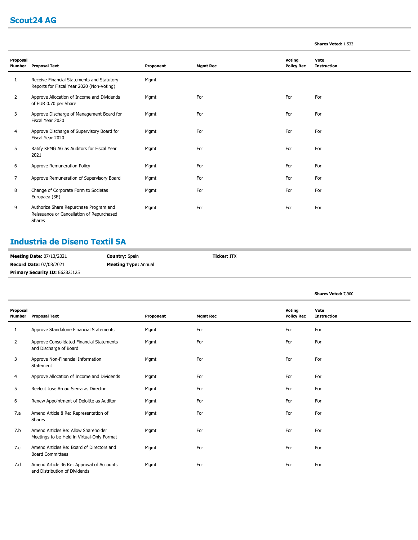### **Scout24 AG**

#### **Shares Voted:** 1,533

**Shares Voted:** 7,900

| Proposal<br><b>Number</b> | <b>Proposal Text</b>                                                                          | Proponent | <b>Mgmt Rec</b> | Voting<br><b>Policy Rec</b> | Vote<br><b>Instruction</b> |
|---------------------------|-----------------------------------------------------------------------------------------------|-----------|-----------------|-----------------------------|----------------------------|
| 1                         | Receive Financial Statements and Statutory<br>Reports for Fiscal Year 2020 (Non-Voting)       | Mgmt      |                 |                             |                            |
| 2                         | Approve Allocation of Income and Dividends<br>of EUR 0.70 per Share                           | Mgmt      | For             | For                         | For                        |
| 3                         | Approve Discharge of Management Board for<br>Fiscal Year 2020                                 | Mgmt      | For             | For                         | For                        |
| 4                         | Approve Discharge of Supervisory Board for<br>Fiscal Year 2020                                | Mgmt      | For             | For                         | For                        |
| 5                         | Ratify KPMG AG as Auditors for Fiscal Year<br>2021                                            | Mgmt      | For             | For                         | For                        |
| 6                         | Approve Remuneration Policy                                                                   | Mgmt      | For             | For                         | For                        |
| 7                         | Approve Remuneration of Supervisory Board                                                     | Mgmt      | For             | For                         | For                        |
| 8                         | Change of Corporate Form to Societas<br>Europaea (SE)                                         | Mgmt      | For             | For                         | For                        |
| 9                         | Authorize Share Repurchase Program and<br>Reissuance or Cancellation of Repurchased<br>Shares | Mgmt      | For             | For                         | For                        |

### **Industria de Diseno Textil SA**

| <b>Meeting Date: 07/13/2021</b>       | <b>Country:</b> Spain       | <b>Ticker: ITX</b> |
|---------------------------------------|-----------------------------|--------------------|
| <b>Record Date: 07/08/2021</b>        | <b>Meeting Type:</b> Annual |                    |
| <b>Primary Security ID: E6282J125</b> |                             |                    |

| Proposal<br><b>Number</b> | <b>Proposal Text</b>                                                               | Proponent | <b>Mgmt Rec</b> | Voting<br><b>Policy Rec</b> | Vote<br><b>Instruction</b> |
|---------------------------|------------------------------------------------------------------------------------|-----------|-----------------|-----------------------------|----------------------------|
| 1                         | Approve Standalone Financial Statements                                            | Mgmt      | For             | For                         | For                        |
| $\overline{2}$            | Approve Consolidated Financial Statements<br>and Discharge of Board                | Mgmt      | For             | For                         | For                        |
| 3                         | Approve Non-Financial Information<br>Statement                                     | Mgmt      | For             | For                         | For                        |
| 4                         | Approve Allocation of Income and Dividends                                         | Mgmt      | For             | For                         | For                        |
| 5                         | Reelect Jose Arnau Sierra as Director                                              | Mgmt      | For             | For                         | For                        |
| 6                         | Renew Appointment of Deloitte as Auditor                                           | Mgmt      | For             | For                         | For                        |
| 7.a                       | Amend Article 8 Re: Representation of<br><b>Shares</b>                             | Mgmt      | For             | For                         | For                        |
| 7.b                       | Amend Articles Re: Allow Shareholder<br>Meetings to be Held in Virtual-Only Format | Mgmt      | For             | For                         | For                        |
| 7.c                       | Amend Articles Re: Board of Directors and<br><b>Board Committees</b>               | Mgmt      | For             | For                         | For                        |
| 7.d                       | Amend Article 36 Re: Approval of Accounts<br>and Distribution of Dividends         | Mgmt      | For             | For                         | For                        |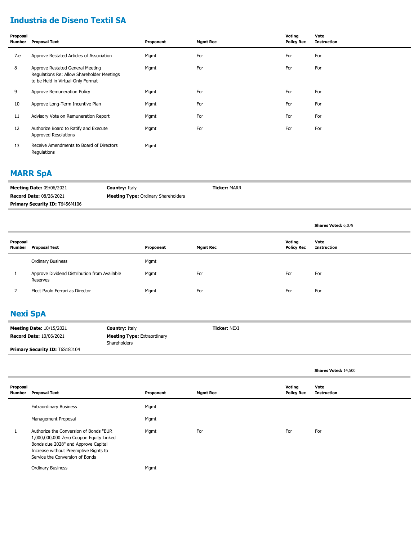### **Industria de Diseno Textil SA**

| Proposal<br>Number | <b>Proposal Text</b>                                                                                                | Proponent | <b>Mgmt Rec</b> | Voting<br><b>Policy Rec</b> | Vote<br><b>Instruction</b> |
|--------------------|---------------------------------------------------------------------------------------------------------------------|-----------|-----------------|-----------------------------|----------------------------|
| 7.e                | Approve Restated Articles of Association                                                                            | Mgmt      | For             | For                         | For                        |
| 8                  | Approve Restated General Meeting<br>Regulations Re: Allow Shareholder Meetings<br>to be Held in Virtual-Only Format | Mgmt      | For             | For                         | For                        |
| 9                  | Approve Remuneration Policy                                                                                         | Mgmt      | For             | For                         | For                        |
| 10                 | Approve Long-Term Incentive Plan                                                                                    | Mgmt      | For             | For                         | For                        |
| 11                 | Advisory Vote on Remuneration Report                                                                                | Mgmt      | For             | For                         | For                        |
| 12                 | Authorize Board to Ratify and Execute<br><b>Approved Resolutions</b>                                                | Mgmt      | For             | For                         | For                        |
| 13                 | Receive Amendments to Board of Directors<br>Regulations                                                             | Mgmt      |                 |                             |                            |

#### **MARR SpA**

| <b>Meeting Date: 09/06/2021</b>       | <b>Country: Italy</b>                      | <b>Ticker: MARR</b> |
|---------------------------------------|--------------------------------------------|---------------------|
| <b>Record Date: 08/26/2021</b>        | <b>Meeting Type: Ordinary Shareholders</b> |                     |
| <b>Primary Security ID: T6456M106</b> |                                            |                     |

|                    |                                                          |           |                 |                             | <b>Shares Voted: 6,079</b> |
|--------------------|----------------------------------------------------------|-----------|-----------------|-----------------------------|----------------------------|
| Proposal<br>Number | Proposal Text                                            | Proponent | <b>Mgmt Rec</b> | Voting<br><b>Policy Rec</b> | Vote<br>Instruction        |
|                    | <b>Ordinary Business</b>                                 | Mgmt      |                 |                             |                            |
|                    | Approve Dividend Distribution from Available<br>Reserves | Mgmt      | For             | For                         | For                        |
|                    | Elect Paolo Ferrari as Director                          | Mgmt      | For             | For                         | For                        |

### **Nexi SpA**

| <b>Meeting Date: 10/15/2021</b>       | <b>Country: Italy</b>                                     | <b>Ticker: NEXI</b> |
|---------------------------------------|-----------------------------------------------------------|---------------------|
| <b>Record Date: 10/06/2021</b>        | <b>Meeting Type:</b> Extraordinary<br><b>Shareholders</b> |                     |
| <b>Primary Security ID: T6S18J104</b> |                                                           |                     |

|          |                                                                                                                                                                                                      |           |                 |                             | Shares Voted: 14,500       |
|----------|------------------------------------------------------------------------------------------------------------------------------------------------------------------------------------------------------|-----------|-----------------|-----------------------------|----------------------------|
| Proposal | Number Proposal Text                                                                                                                                                                                 | Proponent | <b>Mgmt Rec</b> | Voting<br><b>Policy Rec</b> | Vote<br><b>Instruction</b> |
|          | <b>Extraordinary Business</b>                                                                                                                                                                        | Mgmt      |                 |                             |                            |
|          | Management Proposal                                                                                                                                                                                  | Mgmt      |                 |                             |                            |
| 1        | Authorize the Conversion of Bonds "EUR<br>1,000,000,000 Zero Coupon Equity Linked<br>Bonds due 2028" and Approve Capital<br>Increase without Preemptive Rights to<br>Service the Conversion of Bonds | Mgmt      | For             | For                         | For                        |
|          | <b>Ordinary Business</b>                                                                                                                                                                             | Mgmt      |                 |                             |                            |